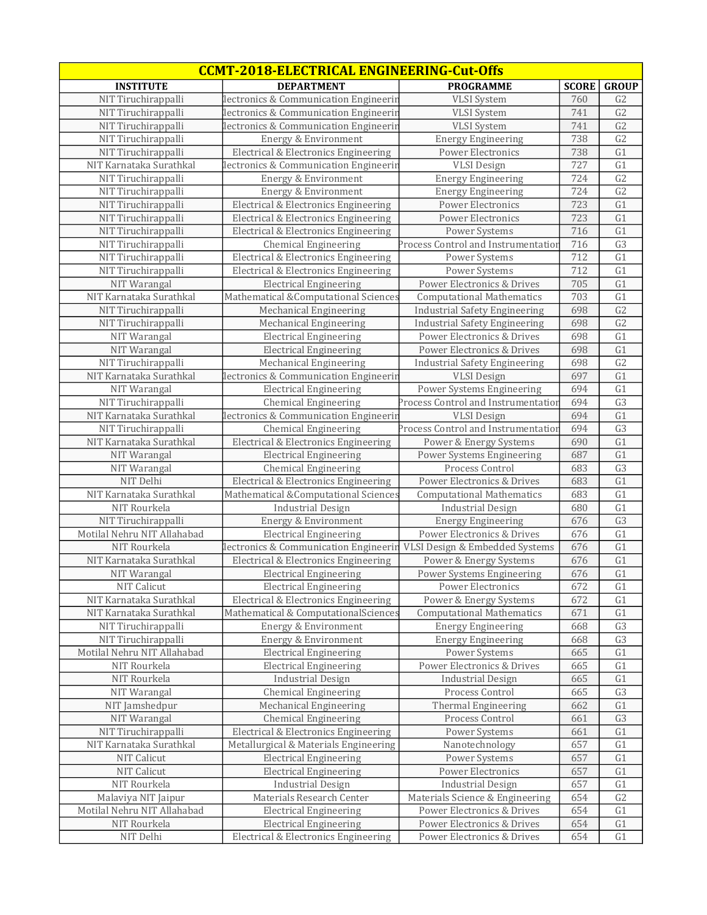| <b>CCMT-2018-ELECTRICAL ENGINEERING-Cut-Offs</b> |                                       |                                      |              |                 |  |
|--------------------------------------------------|---------------------------------------|--------------------------------------|--------------|-----------------|--|
| <b>INSTITUTE</b>                                 | <b>DEPARTMENT</b>                     | <b>PROGRAMME</b>                     | <b>SCORE</b> | <b>GROUP</b>    |  |
| NIT Tiruchirappalli                              | lectronics & Communication Engineerin | <b>VLSI</b> System                   | 760          | G <sub>2</sub>  |  |
| NIT Tiruchirappalli                              | lectronics & Communication Engineerin | <b>VLSI</b> System                   | 741          | G2              |  |
| NIT Tiruchirappalli                              | lectronics & Communication Engineerin | <b>VLSI</b> System                   | 741          | G2              |  |
| NIT Tiruchirappalli                              | Energy & Environment                  | <b>Energy Engineering</b>            | 738          | G2              |  |
| NIT Tiruchirappalli                              | Electrical & Electronics Engineering  | Power Electronics                    | 738          | G1              |  |
| NIT Karnataka Surathkal                          | lectronics & Communication Engineerin | <b>VLSI</b> Design                   | 727          | G1              |  |
| NIT Tiruchirappalli                              | Energy & Environment                  | <b>Energy Engineering</b>            | 724          | $\overline{G2}$ |  |
| NIT Tiruchirappalli                              | Energy & Environment                  | <b>Energy Engineering</b>            | 724          | G <sub>2</sub>  |  |
| NIT Tiruchirappalli                              | Electrical & Electronics Engineering  | Power Electronics                    | 723          | G1              |  |
| NIT Tiruchirappalli                              | Electrical & Electronics Engineering  | Power Electronics                    | 723          | G1              |  |
| NIT Tiruchirappalli                              | Electrical & Electronics Engineering  | Power Systems                        | 716          | G1              |  |
| NIT Tiruchirappalli                              | <b>Chemical Engineering</b>           | Process Control and Instrumentatior  | 716          | $\overline{G}3$ |  |
| NIT Tiruchirappalli                              | Electrical & Electronics Engineering  | Power Systems                        | 712          | G1              |  |
| NIT Tiruchirappalli                              | Electrical & Electronics Engineering  | Power Systems                        | 712          | G1              |  |
| NIT Warangal                                     | <b>Electrical Engineering</b>         | Power Electronics & Drives           | 705          | G1              |  |
| NIT Karnataka Surathkal                          | Mathematical &Computational Sciences  | <b>Computational Mathematics</b>     | 703          | G1              |  |
| NIT Tiruchirappalli                              | Mechanical Engineering                | <b>Industrial Safety Engineering</b> | 698          | $\overline{G2}$ |  |
| NIT Tiruchirappalli                              | Mechanical Engineering                | <b>Industrial Safety Engineering</b> | 698          | G <sub>2</sub>  |  |
| NIT Warangal                                     | <b>Electrical Engineering</b>         | Power Electronics & Drives           | 698          | G1              |  |
| NIT Warangal                                     | <b>Electrical Engineering</b>         | Power Electronics & Drives           | 698          | G1              |  |
| NIT Tiruchirappalli                              | Mechanical Engineering                | <b>Industrial Safety Engineering</b> | 698          | G2              |  |
| NIT Karnataka Surathkal                          | lectronics & Communication Engineerin | <b>VLSI</b> Design                   | 697          | G1              |  |
| NIT Warangal                                     | <b>Electrical Engineering</b>         | Power Systems Engineering            | 694          | G1              |  |
| NIT Tiruchirappalli                              | <b>Chemical Engineering</b>           | Process Control and Instrumentation  | 694          | G3              |  |
| NIT Karnataka Surathkal                          | lectronics & Communication Engineerir | <b>VLSI</b> Design                   | 694          | $\overline{G1}$ |  |
| NIT Tiruchirappalli                              | <b>Chemical Engineering</b>           | Process Control and Instrumentation  | 694          | G3              |  |
| NIT Karnataka Surathkal                          | Electrical & Electronics Engineering  | Power & Energy Systems               | 690          | $\overline{G1}$ |  |
| NIT Warangal                                     | <b>Electrical Engineering</b>         | Power Systems Engineering            | 687          | G1              |  |
| NIT Warangal                                     | <b>Chemical Engineering</b>           | Process Control                      | 683          | G3              |  |
| NIT Delhi                                        | Electrical & Electronics Engineering  | Power Electronics & Drives           | 683          | G1              |  |
| NIT Karnataka Surathkal                          | Mathematical &Computational Sciences  | <b>Computational Mathematics</b>     | 683          | G1              |  |
| NIT Rourkela                                     | <b>Industrial Design</b>              | <b>Industrial Design</b>             | 680          | G1              |  |
| NIT Tiruchirappalli                              | Energy & Environment                  | <b>Energy Engineering</b>            | 676          | G3              |  |
| Motilal Nehru NIT Allahabad                      | <b>Electrical Engineering</b>         | Power Electronics & Drives           | 676          | G1              |  |
| NIT Rourkela                                     | lectronics & Communication Engineerin | VLSI Design & Embedded Systems       | 676          | G1              |  |
| NIT Karnataka Surathkal                          | Electrical & Electronics Engineering  | Power & Energy Systems               | 676          | G1              |  |
| NIT Warangal                                     | <b>Electrical Engineering</b>         | Power Systems Engineering            | 676          | $\overline{G1}$ |  |
| NIT Calicut                                      | <b>Electrical Engineering</b>         | Power Electronics                    | 672          | G1              |  |
| NIT Karnataka Surathkal                          | Electrical & Electronics Engineering  | Power & Energy Systems               | 672          | G1              |  |
| NIT Karnataka Surathkal                          | Mathematical & ComputationalSciences  | <b>Computational Mathematics</b>     | 671          | G1              |  |
| NIT Tiruchirappalli                              | Energy & Environment                  | <b>Energy Engineering</b>            | 668          | G <sub>3</sub>  |  |
| NIT Tiruchirappalli                              | Energy & Environment                  | <b>Energy Engineering</b>            | 668          | G <sub>3</sub>  |  |
| Motilal Nehru NIT Allahabad                      | <b>Electrical Engineering</b>         | Power Systems                        | 665          | G1              |  |
| NIT Rourkela                                     | <b>Electrical Engineering</b>         | Power Electronics & Drives           | 665          | G1              |  |
| NIT Rourkela                                     | <b>Industrial Design</b>              | <b>Industrial Design</b>             | 665          | G1              |  |
| NIT Warangal                                     | <b>Chemical Engineering</b>           | Process Control                      | 665          | G3              |  |
| NIT Jamshedpur                                   | Mechanical Engineering                | Thermal Engineering                  | 662          | G1              |  |
| NIT Warangal                                     | <b>Chemical Engineering</b>           | Process Control                      | 661          | G <sub>3</sub>  |  |
| NIT Tiruchirappalli                              | Electrical & Electronics Engineering  | Power Systems                        | 661          | G1              |  |
| NIT Karnataka Surathkal                          | Metallurgical & Materials Engineering | Nanotechnology                       | 657          | G1              |  |
| NIT Calicut                                      | <b>Electrical Engineering</b>         | Power Systems                        | 657          | G1              |  |
| NIT Calicut                                      | <b>Electrical Engineering</b>         | Power Electronics                    | 657          | G1              |  |
| NIT Rourkela                                     | <b>Industrial Design</b>              | <b>Industrial Design</b>             | 657          | G1              |  |
| Malaviya NIT Jaipur                              | Materials Research Center             | Materials Science & Engineering      | 654          | G2              |  |
| Motilal Nehru NIT Allahabad                      | <b>Electrical Engineering</b>         | Power Electronics & Drives           | 654          | G1              |  |
| NIT Rourkela                                     | <b>Electrical Engineering</b>         | Power Electronics & Drives           | 654          | G1              |  |
| NIT Delhi                                        | Electrical & Electronics Engineering  | Power Electronics & Drives           | 654          | G1              |  |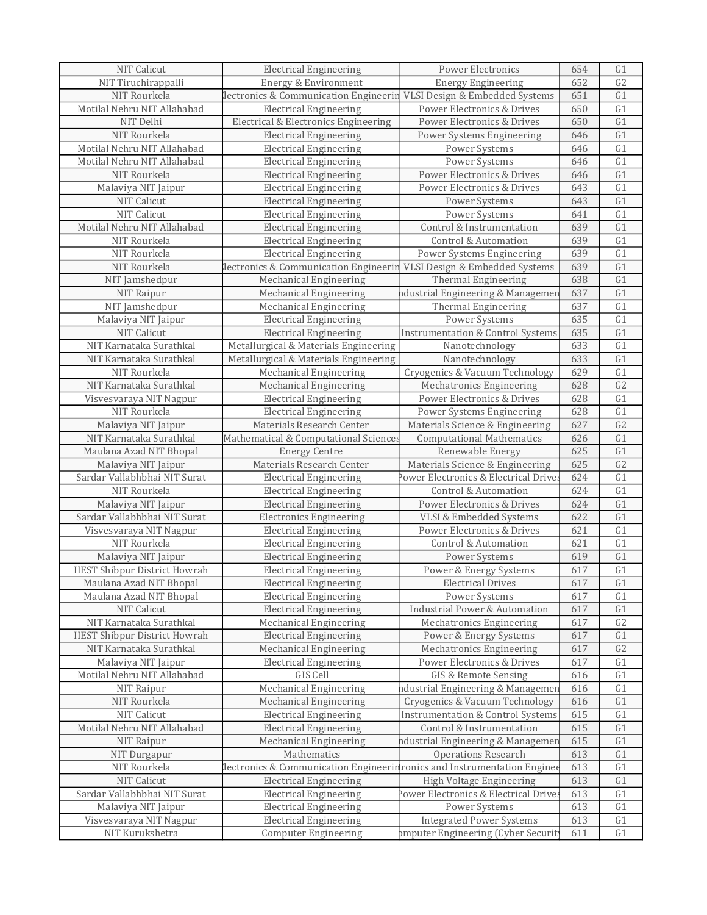| NIT Calicut                                        | <b>Electrical Engineering</b>                                            | Power Electronics                            | 654        | G1              |
|----------------------------------------------------|--------------------------------------------------------------------------|----------------------------------------------|------------|-----------------|
| NIT Tiruchirappalli                                | Energy & Environment                                                     | <b>Energy Engineering</b>                    | 652        | G <sub>2</sub>  |
| NIT Rourkela                                       | lectronics & Communication Engineerin                                    | VLSI Design & Embedded Systems               | 651        | $\overline{G1}$ |
| Motilal Nehru NIT Allahabad                        | <b>Electrical Engineering</b>                                            | Power Electronics & Drives                   | 650        | G1              |
| NIT Delhi                                          | Electrical & Electronics Engineering                                     | Power Electronics & Drives                   | 650        | G1              |
| NIT Rourkela                                       | <b>Electrical Engineering</b>                                            | Power Systems Engineering                    | 646        | $\overline{G1}$ |
| Motilal Nehru NIT Allahabad                        | <b>Electrical Engineering</b>                                            | Power Systems                                | 646        | G1              |
| Motilal Nehru NIT Allahabad                        | <b>Electrical Engineering</b>                                            | Power Systems                                | 646        | G1              |
| NIT Rourkela                                       | <b>Electrical Engineering</b>                                            | Power Electronics & Drives                   | 646        | G1              |
| Malaviya NIT Jaipur                                | <b>Electrical Engineering</b>                                            | Power Electronics & Drives                   | 643        | G1              |
| NIT Calicut                                        | <b>Electrical Engineering</b>                                            | Power Systems                                | 643        | G1              |
| NIT Calicut                                        | <b>Electrical Engineering</b>                                            | Power Systems                                | 641        | G1              |
| Motilal Nehru NIT Allahabad                        | <b>Electrical Engineering</b>                                            | Control & Instrumentation                    | 639        | $\overline{G1}$ |
| NIT Rourkela                                       | <b>Electrical Engineering</b>                                            | <b>Control &amp; Automation</b>              | 639        | G1              |
| NIT Rourkela                                       | <b>Electrical Engineering</b>                                            | Power Systems Engineering                    | 639        | G1              |
| NIT Rourkela                                       | lectronics & Communication Engineerin                                    | VLSI Design & Embedded Systems               | 639        | $\overline{G1}$ |
| NIT Jamshedpur                                     | Mechanical Engineering                                                   | Thermal Engineering                          | 638        | G1              |
| NIT Raipur                                         | Mechanical Engineering                                                   | ndustrial Engineering & Managemer            | 637        | G1              |
| NIT Jamshedpur                                     | Mechanical Engineering                                                   | Thermal Engineering                          | 637        | G1              |
| Malaviya NIT Jaipur                                | <b>Electrical Engineering</b>                                            | Power Systems                                | 635        | G1              |
| NIT Calicut                                        | <b>Electrical Engineering</b>                                            | <b>Instrumentation &amp; Control Systems</b> | 635        | G1              |
| NIT Karnataka Surathkal                            | Metallurgical & Materials Engineering                                    | Nanotechnology                               | 633        | G1              |
| NIT Karnataka Surathkal                            | Metallurgical & Materials Engineering                                    | Nanotechnology                               | 633        | $\overline{G1}$ |
| NIT Rourkela                                       | Mechanical Engineering                                                   | Cryogenics & Vacuum Technology               | 629        | G1              |
| NIT Karnataka Surathkal                            | Mechanical Engineering                                                   | Mechatronics Engineering                     | 628        | G2              |
| Visvesvaraya NIT Nagpur                            | <b>Electrical Engineering</b>                                            | Power Electronics & Drives                   | 628        | G1              |
| NIT Rourkela                                       | <b>Electrical Engineering</b>                                            | Power Systems Engineering                    | 628        | G1              |
| Malaviya NIT Jaipur                                | Materials Research Center                                                | Materials Science & Engineering              | 627        | G2              |
| NIT Karnataka Surathkal                            | Mathematical & Computational Sciences                                    | <b>Computational Mathematics</b>             | 626        | G1              |
| Maulana Azad NIT Bhopal                            | <b>Energy Centre</b>                                                     | Renewable Energy                             | 625        | G1              |
| Malaviya NIT Jaipur                                | Materials Research Center                                                | Materials Science & Engineering              | 625        | G2              |
| Sardar Vallabhbhai NIT Surat                       | <b>Electrical Engineering</b>                                            | Power Electronics & Electrical Drives        | 624        | G1              |
| NIT Rourkela                                       | <b>Electrical Engineering</b>                                            | Control & Automation                         | 624        | $\overline{G1}$ |
| Malaviya NIT Jaipur                                | <b>Electrical Engineering</b>                                            | Power Electronics & Drives                   | 624        | G1              |
| Sardar Vallabhbhai NIT Surat                       | <b>Electronics Engineering</b>                                           | VLSI & Embedded Systems                      | 622        | G1              |
| Visvesvaraya NIT Nagpur                            | <b>Electrical Engineering</b>                                            | Power Electronics & Drives                   | 621        | G1              |
| NIT Rourkela                                       | <b>Electrical Engineering</b>                                            | Control & Automation                         | 621        | G1              |
| Malaviya NIT Jaipur                                | <b>Electrical Engineering</b>                                            | Power Systems                                | 619        | G1              |
| <b>IIEST Shibpur District Howrah</b>               | <b>Electrical Engineering</b>                                            | Power & Energy Systems                       | 617        | G1              |
|                                                    |                                                                          |                                              |            |                 |
| Maulana Azad NIT Bhopal<br>Maulana Azad NIT Bhopal | Electrical Engineering<br><b>Electrical Engineering</b>                  | Electrical Drives<br>Power Systems           | 617<br>617 | G1<br>G1        |
| NIT Calicut                                        | <b>Electrical Engineering</b>                                            | <b>Industrial Power &amp; Automation</b>     | 617        | G1              |
| NIT Karnataka Surathkal                            | Mechanical Engineering                                                   | <b>Mechatronics Engineering</b>              | 617        | G <sub>2</sub>  |
| <b>IIEST Shibpur District Howrah</b>               | <b>Electrical Engineering</b>                                            | Power & Energy Systems                       | 617        | G1              |
| NIT Karnataka Surathkal                            | Mechanical Engineering                                                   | Mechatronics Engineering                     | 617        | G2              |
| Malaviya NIT Jaipur                                | <b>Electrical Engineering</b>                                            | Power Electronics & Drives                   | 617        | G1              |
| Motilal Nehru NIT Allahabad                        | GIS Cell                                                                 | GIS & Remote Sensing                         |            | G1              |
|                                                    |                                                                          | ndustrial Engineering & Managemer            | 616        | G1              |
| NIT Raipur                                         | Mechanical Engineering                                                   |                                              | 616        |                 |
| NIT Rourkela                                       | Mechanical Engineering                                                   | Cryogenics & Vacuum Technology               | 616        | G1              |
| NIT Calicut                                        | <b>Electrical Engineering</b>                                            | <b>Instrumentation &amp; Control Systems</b> | 615        | G1              |
| Motilal Nehru NIT Allahabad                        | <b>Electrical Engineering</b>                                            | Control & Instrumentation                    | 615        | G1              |
| NIT Raipur                                         | Mechanical Engineering                                                   | ndustrial Engineering & Managemer            | 615        | G1              |
| NIT Durgapur                                       | Mathematics                                                              | Operations Research                          | 613        | G1              |
| NIT Rourkela                                       | lectronics & Communication Engineerintronics and Instrumentation Enginee |                                              | 613        | G1              |
| NIT Calicut                                        | <b>Electrical Engineering</b>                                            | High Voltage Engineering                     | 613        | G1              |
| Sardar Vallabhbhai NIT Surat                       | <b>Electrical Engineering</b>                                            | Power Electronics & Electrical Drives        | 613        | G1              |
| Malaviya NIT Jaipur                                | <b>Electrical Engineering</b>                                            | Power Systems                                | 613        | G1              |
| Visvesvaraya NIT Nagpur                            | <b>Electrical Engineering</b>                                            | <b>Integrated Power Systems</b>              | 613        | G1              |
| NIT Kurukshetra                                    | <b>Computer Engineering</b>                                              | omputer Engineering (Cyber Securit           | 611        | G1              |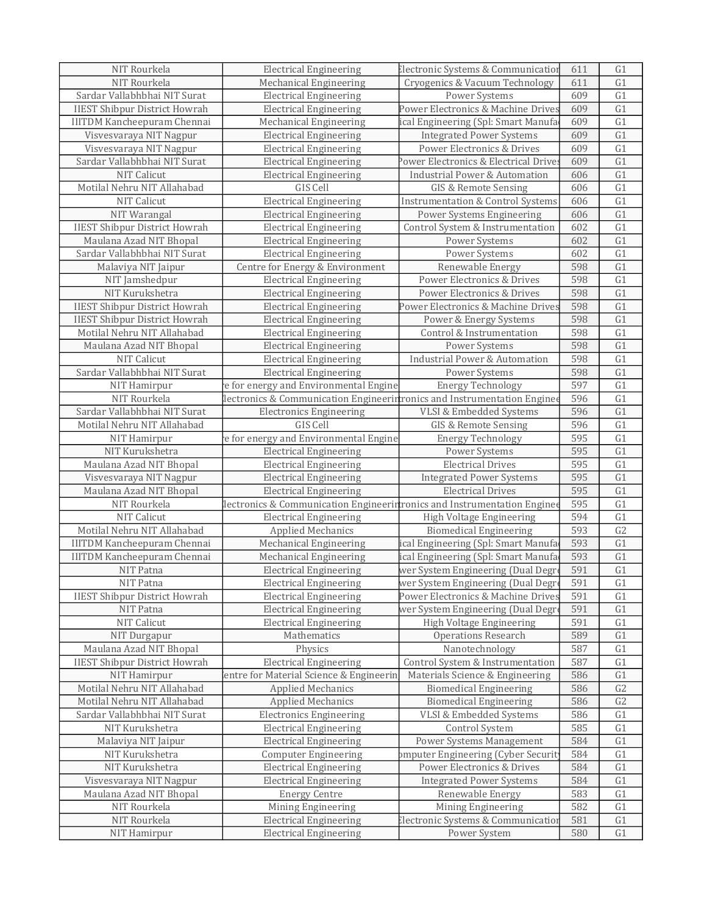| NIT Rourkela                         | <b>Electrical Engineering</b>                                            | Electronic Systems & Communication           | 611 | G1             |
|--------------------------------------|--------------------------------------------------------------------------|----------------------------------------------|-----|----------------|
| NIT Rourkela                         | Mechanical Engineering                                                   | Cryogenics & Vacuum Technology               | 611 | G1             |
| Sardar Vallabhbhai NIT Surat         | <b>Electrical Engineering</b>                                            | Power Systems                                | 609 | G1             |
| <b>IIEST Shibpur District Howrah</b> | <b>Electrical Engineering</b>                                            | Power Electronics & Machine Drives           | 609 | G1             |
| <b>IIITDM Kancheepuram Chennai</b>   | Mechanical Engineering                                                   | ical Engineering (Spl: Smart Manufa          | 609 | G1             |
| Visvesvaraya NIT Nagpur              | <b>Electrical Engineering</b>                                            | <b>Integrated Power Systems</b>              | 609 | G1             |
| Visvesvaraya NIT Nagpur              | <b>Electrical Engineering</b>                                            | Power Electronics & Drives                   | 609 | G1             |
| Sardar Vallabhbhai NIT Surat         | <b>Electrical Engineering</b>                                            | Power Electronics & Electrical Drive         | 609 | G1             |
| NIT Calicut                          | <b>Electrical Engineering</b>                                            | <b>Industrial Power &amp; Automation</b>     | 606 | G1             |
| Motilal Nehru NIT Allahabad          | GIS Cell                                                                 | <b>GIS &amp; Remote Sensing</b>              | 606 | G1             |
| NIT Calicut                          | <b>Electrical Engineering</b>                                            | <b>Instrumentation &amp; Control Systems</b> | 606 | G1             |
| NIT Warangal                         | <b>Electrical Engineering</b>                                            | Power Systems Engineering                    | 606 | G1             |
| <b>IIEST Shibpur District Howrah</b> | <b>Electrical Engineering</b>                                            | Control System & Instrumentation             | 602 | G1             |
| Maulana Azad NIT Bhopal              | <b>Electrical Engineering</b>                                            | Power Systems                                | 602 | G1             |
| Sardar Vallabhbhai NIT Surat         | <b>Electrical Engineering</b>                                            | Power Systems                                | 602 | G1             |
| Malaviya NIT Jaipur                  | Centre for Energy & Environment                                          | Renewable Energy                             | 598 | G1             |
| NIT Jamshedpur                       | <b>Electrical Engineering</b>                                            | Power Electronics & Drives                   | 598 | G1             |
| NIT Kurukshetra                      |                                                                          | Power Electronics & Drives                   | 598 |                |
|                                      | <b>Electrical Engineering</b>                                            |                                              |     | G1             |
| <b>IIEST Shibpur District Howrah</b> | <b>Electrical Engineering</b>                                            | Power Electronics & Machine Drives           | 598 | G1             |
| <b>IIEST Shibpur District Howrah</b> | <b>Electrical Engineering</b>                                            | Power & Energy Systems                       | 598 | G1             |
| Motilal Nehru NIT Allahabad          | <b>Electrical Engineering</b>                                            | Control & Instrumentation                    | 598 | G1             |
| Maulana Azad NIT Bhopal              | <b>Electrical Engineering</b>                                            | Power Systems                                | 598 | G1             |
| NIT Calicut                          | <b>Electrical Engineering</b>                                            | <b>Industrial Power &amp; Automation</b>     | 598 | G1             |
| Sardar Vallabhbhai NIT Surat         | <b>Electrical Engineering</b>                                            | Power Systems                                | 598 | G1             |
| NIT Hamirpur                         | e for energy and Environmental Engine                                    | Energy Technology                            | 597 | G1             |
| NIT Rourkela                         | lectronics & Communication Engineerintronics and Instrumentation Enginee |                                              | 596 | G1             |
| Sardar Vallabhbhai NIT Surat         | <b>Electronics Engineering</b>                                           | VLSI & Embedded Systems                      | 596 | G1             |
| Motilal Nehru NIT Allahabad          | GIS Cell                                                                 | GIS & Remote Sensing                         | 596 | G1             |
| NIT Hamirpur                         | e for energy and Environmental Engine                                    | <b>Energy Technology</b>                     | 595 | G1             |
| NIT Kurukshetra                      | <b>Electrical Engineering</b>                                            | Power Systems                                | 595 | G1             |
| Maulana Azad NIT Bhopal              | <b>Electrical Engineering</b>                                            | <b>Electrical Drives</b>                     | 595 | G1             |
| Visvesvaraya NIT Nagpur              | <b>Electrical Engineering</b>                                            | <b>Integrated Power Systems</b>              | 595 | G1             |
| Maulana Azad NIT Bhopal              | <b>Electrical Engineering</b>                                            | <b>Electrical Drives</b>                     | 595 | G1             |
| NIT Rourkela                         | lectronics & Communication Engineerintronics and Instrumentation Enginee |                                              | 595 | G1             |
| NIT Calicut                          | <b>Electrical Engineering</b>                                            | High Voltage Engineering                     | 594 | G1             |
| Motilal Nehru NIT Allahabad          | Applied Mechanics                                                        | <b>Biomedical Engineering</b>                | 593 | G2             |
| <b>IIITDM Kancheepuram Chennai</b>   | Mechanical Engineering                                                   | ical Engineering (Spl: Smart Manufa          | 593 | G1             |
| <b>IIITDM Kancheepuram Chennai</b>   | Mechanical Engineering                                                   | ical Engineering (Spl: Smart Manufa          | 593 | G1             |
| NIT Patna                            | <b>Electrical Engineering</b>                                            | wer System Engineering (Dual Degr            | 591 | G1             |
| NIT Patna                            | Electrical Engineering                                                   | wer System Engineering (Dual Degr            | 591 | G1             |
| <b>IIEST Shibpur District Howrah</b> | <b>Electrical Engineering</b>                                            | Power Electronics & Machine Drives           | 591 | G1             |
| NIT Patna                            | <b>Electrical Engineering</b>                                            | wer System Engineering (Dual Degre           | 591 | G1             |
| NIT Calicut                          | <b>Electrical Engineering</b>                                            | High Voltage Engineering                     | 591 | G1             |
| NIT Durgapur                         | Mathematics                                                              | Operations Research                          | 589 | G1             |
| Maulana Azad NIT Bhopal              | Physics                                                                  | Nanotechnology                               | 587 | G1             |
| <b>IIEST Shibpur District Howrah</b> | <b>Electrical Engineering</b>                                            | Control System & Instrumentation             | 587 | G1             |
| NIT Hamirpur                         | entre for Material Science & Engineerin                                  | Materials Science & Engineering              | 586 | G1             |
| Motilal Nehru NIT Allahabad          | Applied Mechanics                                                        | <b>Biomedical Engineering</b>                | 586 | G <sub>2</sub> |
| Motilal Nehru NIT Allahabad          | <b>Applied Mechanics</b>                                                 | <b>Biomedical Engineering</b>                | 586 | G2             |
| Sardar Vallabhbhai NIT Surat         | <b>Electronics Engineering</b>                                           | VLSI & Embedded Systems                      | 586 | G1             |
| NIT Kurukshetra                      | <b>Electrical Engineering</b>                                            | Control System                               | 585 | G1             |
| Malaviya NIT Jaipur                  | <b>Electrical Engineering</b>                                            | Power Systems Management                     | 584 | G1             |
| NIT Kurukshetra                      | <b>Computer Engineering</b>                                              | omputer Engineering (Cyber Securit           | 584 | G1             |
| NIT Kurukshetra                      | <b>Electrical Engineering</b>                                            | Power Electronics & Drives                   | 584 | G1             |
| Visvesvaraya NIT Nagpur              | <b>Electrical Engineering</b>                                            | <b>Integrated Power Systems</b>              | 584 | G1             |
| Maulana Azad NIT Bhopal              | <b>Energy Centre</b>                                                     | Renewable Energy                             | 583 | G1             |
| NIT Rourkela                         | Mining Engineering                                                       | Mining Engineering                           | 582 | G1             |
| NIT Rourkela                         | <b>Electrical Engineering</b>                                            | Electronic Systems & Communication           | 581 | G <sub>1</sub> |
| NIT Hamirpur                         | <b>Electrical Engineering</b>                                            | Power System                                 | 580 | G1             |
|                                      |                                                                          |                                              |     |                |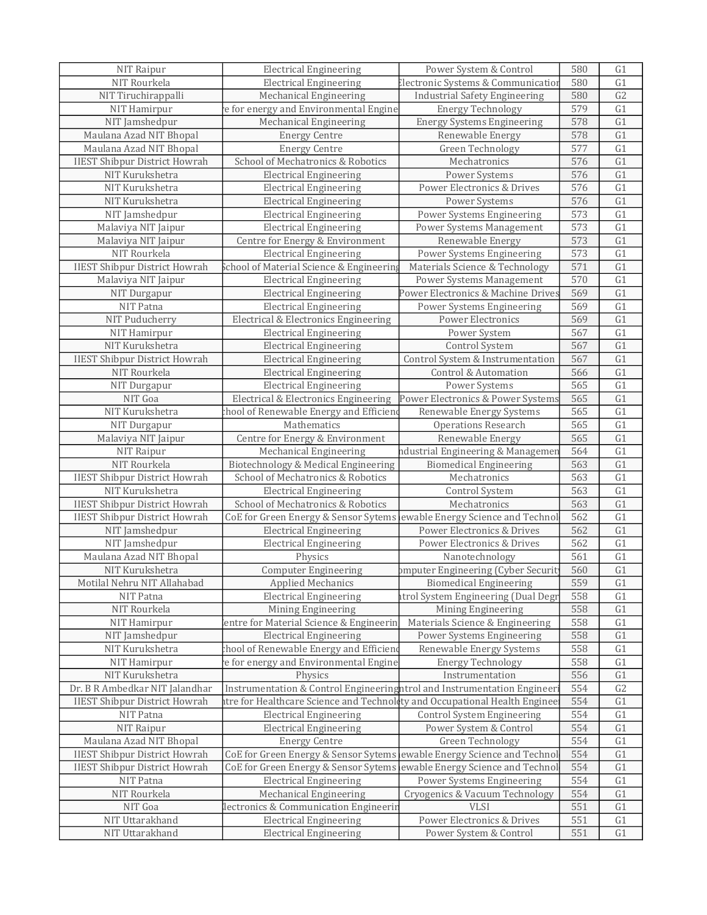| NIT Raipur                                        | <b>Electrical Engineering</b>                                             | Power System & Control               | 580        | G1              |
|---------------------------------------------------|---------------------------------------------------------------------------|--------------------------------------|------------|-----------------|
| NIT Rourkela                                      | <b>Electrical Engineering</b>                                             | Electronic Systems & Communication   | 580        | G1              |
| NIT Tiruchirappalli                               | Mechanical Engineering                                                    | <b>Industrial Safety Engineering</b> | 580        | $\overline{G2}$ |
| NIT Hamirpur                                      | e for energy and Environmental Engine                                     | <b>Energy Technology</b>             | 579        | G1              |
| NIT Jamshedpur                                    | Mechanical Engineering                                                    | <b>Energy Systems Engineering</b>    | 578        | G1              |
| Maulana Azad NIT Bhopal                           | <b>Energy Centre</b>                                                      | Renewable Energy                     | 578        | $\overline{G1}$ |
| Maulana Azad NIT Bhopal                           | <b>Energy Centre</b>                                                      | Green Technology                     | 577        | G1              |
| <b>IIEST Shibpur District Howrah</b>              | School of Mechatronics & Robotics                                         | Mechatronics                         | 576        | G1              |
| NIT Kurukshetra                                   | <b>Electrical Engineering</b>                                             | Power Systems                        | 576        | G1              |
| NIT Kurukshetra                                   | <b>Electrical Engineering</b>                                             | Power Electronics & Drives           | 576        | G1              |
| NIT Kurukshetra                                   | <b>Electrical Engineering</b>                                             | Power Systems                        | 576        | G1              |
| NIT Jamshedpur                                    | <b>Electrical Engineering</b>                                             | Power Systems Engineering            | 573        | G1              |
| Malaviya NIT Jaipur                               | <b>Electrical Engineering</b>                                             | Power Systems Management             | 573        | $\overline{G1}$ |
| Malaviya NIT Jaipur                               | Centre for Energy & Environment                                           | Renewable Energy                     | 573        | G1              |
| NIT Rourkela                                      | <b>Electrical Engineering</b>                                             | Power Systems Engineering            | 573        | G1              |
| <b>IIEST Shibpur District Howrah</b>              | chool of Material Science & Engineering                                   | Materials Science & Technology       | 571        | $\overline{G1}$ |
| Malaviya NIT Jaipur                               | <b>Electrical Engineering</b>                                             | Power Systems Management             | 570        | G1              |
| NIT Durgapur                                      | <b>Electrical Engineering</b>                                             | Power Electronics & Machine Drives   | 569        | G1              |
| NIT Patna                                         | <b>Electrical Engineering</b>                                             | Power Systems Engineering            | 569        | G1              |
| NIT Puducherry                                    | Electrical & Electronics Engineering                                      | <b>Power Electronics</b>             | 569        | G1              |
| NIT Hamirpur                                      | <b>Electrical Engineering</b>                                             | Power System                         | 567        | G1              |
| NIT Kurukshetra                                   | <b>Electrical Engineering</b>                                             | Control System                       | 567        | G1              |
| <b>IIEST Shibpur District Howrah</b>              | <b>Electrical Engineering</b>                                             | Control System & Instrumentation     | 567        | $\overline{G1}$ |
| NIT Rourkela                                      | <b>Electrical Engineering</b>                                             | Control & Automation                 | 566        | G1              |
| NIT Durgapur                                      | <b>Electrical Engineering</b>                                             | Power Systems                        | 565        | G1              |
| NIT Goa                                           | Electrical & Electronics Engineering                                      | Power Electronics & Power Systems    | 565        | G1              |
| NIT Kurukshetra                                   | chool of Renewable Energy and Efficiend                                   | Renewable Energy Systems             | 565        | G1              |
| NIT Durgapur                                      | Mathematics                                                               | <b>Operations Research</b>           | 565        | G1              |
| Malaviya NIT Jaipur                               | Centre for Energy & Environment                                           | Renewable Energy                     | 565        | G1              |
| NIT Raipur                                        | Mechanical Engineering                                                    | ndustrial Engineering & Managemer    | 564        | G1              |
| NIT Rourkela                                      | Biotechnology & Medical Engineering                                       | <b>Biomedical Engineering</b>        | 563        | G1              |
| <b>IIEST Shibpur District Howrah</b>              | School of Mechatronics & Robotics                                         | Mechatronics                         | 563        | G1              |
| NIT Kurukshetra                                   | <b>Electrical Engineering</b>                                             | Control System                       | 563        | $\overline{G1}$ |
| <b>IIEST Shibpur District Howrah</b>              | School of Mechatronics & Robotics                                         | Mechatronics                         | 563        | G1              |
| <b>IIEST Shibpur District Howrah</b>              | CoE for Green Energy & Sensor Sytems lewable Energy Science and Technol   |                                      | 562        | G1              |
| NIT Jamshedpur                                    | <b>Electrical Engineering</b>                                             | Power Electronics & Drives           | 562        | $\overline{G1}$ |
| NIT Jamshedpur                                    | <b>Electrical Engineering</b>                                             | Power Electronics & Drives           | 562        | G1              |
| Maulana Azad NIT Bhopal                           | Physics                                                                   | Nanotechnology                       | 561        | G1              |
| NIT Kurukshetra                                   | <b>Computer Engineering</b>                                               | omputer Engineering (Cyber Securit   | 560        | G1              |
| Motilal Nehru NIT Allahabad                       | Applied Mechanics                                                         | <b>Biomedical Engineering</b>        | 559        | G <sub>1</sub>  |
| NIT Patna                                         | <b>Electrical Engineering</b>                                             | itrol System Engineering (Dual Degr  | 558        | G1              |
| NIT Rourkela                                      | Mining Engineering                                                        | Mining Engineering                   | 558        | G1              |
| NIT Hamirpur                                      | entre for Material Science & Engineerin                                   | Materials Science & Engineering      | 558        | G1              |
| NIT Jamshedpur                                    | <b>Electrical Engineering</b>                                             | Power Systems Engineering            | 558        | G1              |
| NIT Kurukshetra                                   | chool of Renewable Energy and Efficiene                                   | Renewable Energy Systems             | 558        | G1              |
| NIT Hamirpur                                      | e for energy and Environmental Engine                                     | <b>Energy Technology</b>             | 558        | G1              |
| NIT Kurukshetra                                   | Physics                                                                   | Instrumentation                      | 556        | G1              |
| Dr. B R Ambedkar NIT Jalandhar                    | Instrumentation & Control Engineeringhtrol and Instrumentation Engineeri  |                                      | 554        | G2              |
|                                                   | tre for Healthcare Science and Technolety and Occupational Health Enginee |                                      |            |                 |
| <b>IIEST Shibpur District Howrah</b><br>NIT Patna | <b>Electrical Engineering</b>                                             | <b>Control System Engineering</b>    | 554<br>554 | G1<br>G1        |
|                                                   |                                                                           |                                      |            |                 |
| NIT Raipur                                        | <b>Electrical Engineering</b>                                             | Power System & Control               | 554        | G1              |
| Maulana Azad NIT Bhopal                           | <b>Energy Centre</b>                                                      | Green Technology                     | 554        | G1              |
| <b>IIEST Shibpur District Howrah</b>              | CoE for Green Energy & Sensor Sytems lewable Energy Science and Technol   |                                      | 554        | G1              |
| <b>IIEST Shibpur District Howrah</b>              | CoE for Green Energy & Sensor Sytems lewable Energy Science and Technol   |                                      | 554        | G1              |
| NIT Patna                                         | <b>Electrical Engineering</b>                                             | Power Systems Engineering            | 554        | G1              |
| NIT Rourkela                                      | <b>Mechanical Engineering</b>                                             | Cryogenics & Vacuum Technology       | 554        | G1              |
| NIT Goa                                           | lectronics & Communication Engineerin                                     | <b>VLSI</b>                          | 551        | G1              |
| NIT Uttarakhand                                   | <b>Electrical Engineering</b>                                             | Power Electronics & Drives           | 551        | G1              |
| NIT Uttarakhand                                   | <b>Electrical Engineering</b>                                             | Power System & Control               | 551        | G1              |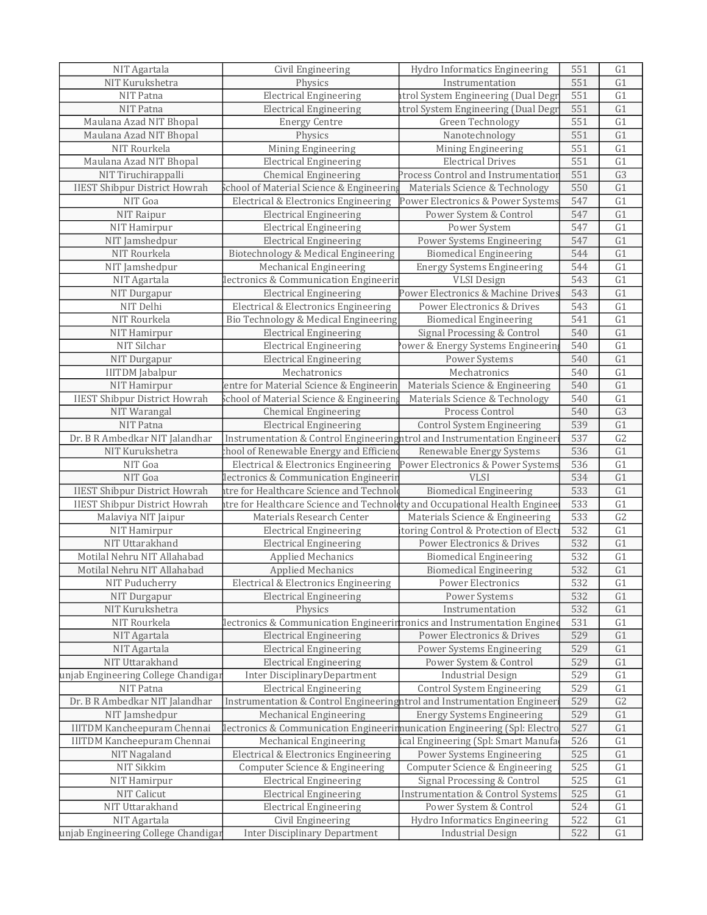| NIT Agartala                         | Civil Engineering                                                         | Hydro Informatics Engineering                | 551 | G1             |
|--------------------------------------|---------------------------------------------------------------------------|----------------------------------------------|-----|----------------|
| NIT Kurukshetra                      | Physics                                                                   | Instrumentation                              | 551 | G1             |
| NIT Patna                            | <b>Electrical Engineering</b>                                             | atrol System Engineering (Dual Degr          | 551 | G1             |
| NIT Patna                            | <b>Electrical Engineering</b>                                             | atrol System Engineering (Dual Degr          | 551 | G1             |
| Maulana Azad NIT Bhopal              | <b>Energy Centre</b>                                                      | Green Technology                             | 551 | G1             |
| Maulana Azad NIT Bhopal              | Physics                                                                   | Nanotechnology                               | 551 | G1             |
| NIT Rourkela                         | Mining Engineering                                                        | Mining Engineering                           | 551 | G1             |
| Maulana Azad NIT Bhopal              | <b>Electrical Engineering</b>                                             | <b>Electrical Drives</b>                     | 551 | G1             |
| NIT Tiruchirappalli                  | <b>Chemical Engineering</b>                                               | Process Control and Instrumentation          | 551 | G3             |
| <b>IIEST Shibpur District Howrah</b> | School of Material Science & Engineering                                  | Materials Science & Technology               | 550 | G1             |
| NIT Goa                              | Electrical & Electronics Engineering                                      | Power Electronics & Power Systems            | 547 | G1             |
|                                      |                                                                           |                                              |     |                |
| NIT Raipur                           | <b>Electrical Engineering</b>                                             | Power System & Control                       | 547 | G1             |
| NIT Hamirpur                         | <b>Electrical Engineering</b>                                             | Power System                                 | 547 | G1             |
| NIT Jamshedpur                       | <b>Electrical Engineering</b>                                             | Power Systems Engineering                    | 547 | G1             |
| NIT Rourkela                         | Biotechnology & Medical Engineering                                       | <b>Biomedical Engineering</b>                | 544 | G1             |
| NIT Jamshedpur                       | Mechanical Engineering                                                    | <b>Energy Systems Engineering</b>            | 544 | G1             |
| NIT Agartala                         | lectronics & Communication Engineerin                                     | <b>VLSI</b> Design                           | 543 | G1             |
| NIT Durgapur                         | <b>Electrical Engineering</b>                                             | Power Electronics & Machine Drives           | 543 | G1             |
| NIT Delhi                            | Electrical & Electronics Engineering                                      | Power Electronics & Drives                   | 543 | G1             |
| NIT Rourkela                         | Bio Technology & Medical Engineering                                      | <b>Biomedical Engineering</b>                | 541 | G1             |
| NIT Hamirpur                         | <b>Electrical Engineering</b>                                             | Signal Processing & Control                  | 540 | G1             |
| NIT Silchar                          | <b>Electrical Engineering</b>                                             | ower & Energy Systems Engineerin             | 540 | G1             |
| NIT Durgapur                         | <b>Electrical Engineering</b>                                             | Power Systems                                | 540 | G1             |
| <b>IIITDM</b> Jabalpur               | Mechatronics                                                              | Mechatronics                                 | 540 | G1             |
| NIT Hamirpur                         | entre for Material Science & Engineerin                                   | Materials Science & Engineering              | 540 | G1             |
|                                      |                                                                           |                                              |     | G1             |
| <b>IIEST Shibpur District Howrah</b> | School of Material Science & Engineering                                  | Materials Science & Technology               | 540 |                |
| NIT Warangal                         | <b>Chemical Engineering</b>                                               | Process Control                              | 540 | G <sub>3</sub> |
| NIT Patna                            | <b>Electrical Engineering</b>                                             | <b>Control System Engineering</b>            | 539 | G1             |
| Dr. B R Ambedkar NIT Jalandhar       | Instrumentation & Control Engineeringhtrol and Instrumentation Engineer   |                                              | 537 | G2             |
| NIT Kurukshetra                      | hool of Renewable Energy and Efficien                                     | Renewable Energy Systems                     | 536 | G1             |
| NIT Goa                              | Electrical & Electronics Engineering                                      | Power Electronics & Power Systems            | 536 | G1             |
| NIT Goa                              | lectronics & Communication Engineerin                                     | <b>VLSI</b>                                  | 534 | G1             |
| <b>IIEST Shibpur District Howrah</b> | tre for Healthcare Science and Technol                                    | <b>Biomedical Engineering</b>                | 533 | G1             |
| <b>IIEST Shibpur District Howrah</b> | tre for Healthcare Science and Technoldty and Occupational Health Enginee |                                              | 533 | G1             |
| Malaviya NIT Jaipur                  | Materials Research Center                                                 | Materials Science & Engineering              | 533 | G2             |
| NIT Hamirpur                         | <b>Electrical Engineering</b>                                             | itoring Control & Protection of Electi       | 532 | G1             |
| NIT Uttarakhand                      | <b>Electrical Engineering</b>                                             | Power Electronics & Drives                   | 532 | G1             |
| Motilal Nehru NIT Allahabad          | Applied Mechanics                                                         | <b>Biomedical Engineering</b>                | 532 | G1             |
| Motilal Nehru NIT Allahabad          | <b>Applied Mechanics</b>                                                  | <b>Biomedical Engineering</b>                | 532 | G1             |
| NIT Puducherry                       | Electrical & Electronics Engineering                                      | Power Electronics                            | 532 | G <sub>1</sub> |
| NIT Durgapur                         | <b>Electrical Engineering</b>                                             | Power Systems                                | 532 | G1             |
| NIT Kurukshetra                      | Physics                                                                   | Instrumentation                              | 532 | G1             |
| NIT Rourkela                         |                                                                           |                                              |     | G1             |
|                                      | lectronics & Communication Engineerintronics and Instrumentation Enginee  |                                              | 531 |                |
| NIT Agartala                         | <b>Electrical Engineering</b>                                             | Power Electronics & Drives                   | 529 | G1             |
| NIT Agartala                         | <b>Electrical Engineering</b>                                             | Power Systems Engineering                    | 529 | G1             |
| NIT Uttarakhand                      | <b>Electrical Engineering</b>                                             | Power System & Control                       | 529 | G1             |
| unjab Engineering College Chandigar  | Inter DisciplinaryDepartment                                              | <b>Industrial Design</b>                     | 529 | G1             |
| NIT Patna                            | <b>Electrical Engineering</b>                                             | <b>Control System Engineering</b>            | 529 | G1             |
| Dr. B R Ambedkar NIT Jalandhar       | Instrumentation & Control Engineeringhtrol and Instrumentation Engineer   |                                              | 529 | G2             |
| NIT Jamshedpur                       | Mechanical Engineering                                                    | <b>Energy Systems Engineering</b>            | 529 | G1             |
| <b>IIITDM Kancheepuram Chennai</b>   | lectronics & Communication Engineerimunication Engineering (Spl: Electro  |                                              | 527 | ${\rm G1}$     |
| <b>IIITDM Kancheepuram Chennai</b>   | <b>Mechanical Engineering</b>                                             | ical Engineering (Spl: Smart Manufa          | 526 | G1             |
| NIT Nagaland                         | Electrical & Electronics Engineering                                      | Power Systems Engineering                    | 525 | G1             |
| NIT Sikkim                           | Computer Science & Engineering                                            | Computer Science & Engineering               | 525 | G1             |
| NIT Hamirpur                         | <b>Electrical Engineering</b>                                             | Signal Processing & Control                  | 525 | G1             |
| NIT Calicut                          | <b>Electrical Engineering</b>                                             | <b>Instrumentation &amp; Control Systems</b> | 525 | G1             |
| NIT Uttarakhand                      | <b>Electrical Engineering</b>                                             | Power System & Control                       | 524 | G1             |
| NIT Agartala                         | Civil Engineering                                                         | Hydro Informatics Engineering                | 522 | G1             |
|                                      |                                                                           |                                              |     |                |
| unjab Engineering College Chandigar  | Inter Disciplinary Department                                             | <b>Industrial Design</b>                     | 522 | G1             |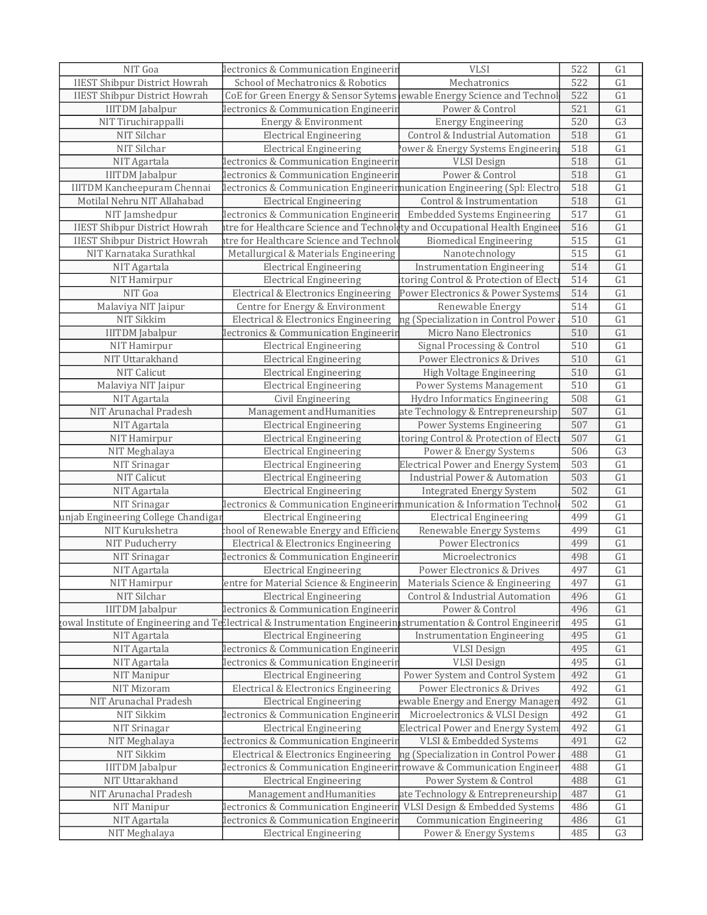| NIT Goa                              | lectronics & Communication Engineerin                                                                          | <b>VLSI</b>                               | 522 | G1              |
|--------------------------------------|----------------------------------------------------------------------------------------------------------------|-------------------------------------------|-----|-----------------|
| <b>IIEST Shibpur District Howrah</b> | School of Mechatronics & Robotics                                                                              | Mechatronics                              | 522 | G1              |
| <b>IIEST Shibpur District Howrah</b> | CoE for Green Energy & Sensor Sytems                                                                           | ewable Energy Science and Technol         | 522 | $\overline{G1}$ |
| <b>IIITDM</b> Jabalpur               | lectronics & Communication Engineerir                                                                          | Power & Control                           | 521 | G1              |
| NIT Tiruchirappalli                  | Energy & Environment                                                                                           | <b>Energy Engineering</b>                 | 520 | G3              |
| NIT Silchar                          | <b>Electrical Engineering</b>                                                                                  | Control & Industrial Automation           | 518 | $\overline{G1}$ |
| NIT Silchar                          | <b>Electrical Engineering</b>                                                                                  | ower & Energy Systems Engineerin          | 518 | G1              |
| NIT Agartala                         | lectronics & Communication Engineerin                                                                          | <b>VLSI</b> Design                        | 518 | G1              |
| <b>IIITDM</b> Jabalpur               | lectronics & Communication Engineerin                                                                          | Power & Control                           | 518 | G1              |
| <b>IIITDM Kancheepuram Chennai</b>   | lectronics & Communication Engineerimunication Engineering (Spl: Electro                                       |                                           | 518 | G1              |
| Motilal Nehru NIT Allahabad          | <b>Electrical Engineering</b>                                                                                  | Control & Instrumentation                 | 518 | $\overline{G1}$ |
| NIT Jamshedpur                       | lectronics & Communication Engineerin                                                                          | Embedded Systems Engineering              | 517 | G1              |
| <b>IIEST Shibpur District Howrah</b> | tre for Healthcare Science and Technolety and Occupational Health Enginee                                      |                                           | 516 | $\overline{G1}$ |
| <b>IIEST Shibpur District Howrah</b> | tre for Healthcare Science and Technol                                                                         | <b>Biomedical Engineering</b>             | 515 | G1              |
| NIT Karnataka Surathkal              | Metallurgical & Materials Engineering                                                                          | Nanotechnology                            | 515 | G1              |
| NIT Agartala                         | <b>Electrical Engineering</b>                                                                                  | <b>Instrumentation Engineering</b>        | 514 | $\overline{G1}$ |
| NIT Hamirpur                         | <b>Electrical Engineering</b>                                                                                  | itoring Control & Protection of Elect     | 514 | G1              |
| NIT Goa                              | Electrical & Electronics Engineering                                                                           | Power Electronics & Power Systems         | 514 | G1              |
| Malaviya NIT Jaipur                  | Centre for Energy & Environment                                                                                | Renewable Energy                          | 514 | G1              |
| NIT Sikkim                           | Electrical & Electronics Engineering                                                                           | ng (Specialization in Control Power       | 510 | G1              |
| <b>IIITDM</b> Jabalpur               | lectronics & Communication Engineerin                                                                          | Micro Nano Electronics                    | 510 | $\overline{G1}$ |
| NIT Hamirpur                         | <b>Electrical Engineering</b>                                                                                  | Signal Processing & Control               | 510 | G1              |
| NIT Uttarakhand                      | <b>Electrical Engineering</b>                                                                                  | Power Electronics & Drives                | 510 | $\overline{G1}$ |
| NIT Calicut                          | <b>Electrical Engineering</b>                                                                                  | High Voltage Engineering                  | 510 | G1              |
| Malaviya NIT Jaipur                  | <b>Electrical Engineering</b>                                                                                  | Power Systems Management                  | 510 | G1              |
| NIT Agartala                         | Civil Engineering                                                                                              | Hydro Informatics Engineering             | 508 | $\overline{G1}$ |
| NIT Arunachal Pradesh                | Management and Humanities                                                                                      | ate Technology & Entrepreneurship         | 507 | G1              |
| NIT Agartala                         | <b>Electrical Engineering</b>                                                                                  | Power Systems Engineering                 | 507 | $\overline{G1}$ |
| NIT Hamirpur                         | <b>Electrical Engineering</b>                                                                                  | itoring Control & Protection of Elect     | 507 | G1              |
| NIT Meghalaya                        | <b>Electrical Engineering</b>                                                                                  | Power & Energy Systems                    | 506 | G <sub>3</sub>  |
| NIT Srinagar                         | <b>Electrical Engineering</b>                                                                                  | <b>Electrical Power and Energy System</b> | 503 | $\overline{G1}$ |
| NIT Calicut                          | <b>Electrical Engineering</b>                                                                                  | <b>Industrial Power &amp; Automation</b>  | 503 | G1              |
| NIT Agartala                         | <b>Electrical Engineering</b>                                                                                  | <b>Integrated Energy System</b>           | 502 | $\overline{G1}$ |
| NIT Srinagar                         | lectronics & Communication Engineerimmunication & Information Technol                                          |                                           | 502 | G1              |
| unjab Engineering College Chandigar  |                                                                                                                |                                           | 499 | G1              |
| NIT Kurukshetra                      | <b>Electrical Engineering</b>                                                                                  | <b>Electrical Engineering</b>             | 499 | $\overline{G1}$ |
|                                      | chool of Renewable Energy and Efficien                                                                         | Renewable Energy Systems                  |     | G1              |
| NIT Puducherry                       | Electrical & Electronics Engineering                                                                           | Power Electronics                         | 499 |                 |
| NIT Srinagar                         | lectronics & Communication Engineerin                                                                          | Microelectronics                          | 498 | G1              |
| NIT Agartala                         | <b>Electrical Engineering</b>                                                                                  | Power Electronics & Drives                | 497 | G1              |
| <b>NIT Hamirpur</b>                  | entre for Material Science & Engineerin                                                                        | Materials Science & Engineering           | 497 | G <sub>1</sub>  |
| NIT Silchar                          | <b>Electrical Engineering</b>                                                                                  | Control & Industrial Automation           | 496 | G1              |
| <b>IIITDM</b> Jabalpur               | lectronics & Communication Engineerin                                                                          | Power & Control                           | 496 | G1              |
|                                      | owal Institute of Engineering and Tellectrical & Instrumentation Engineerinistrumentation & Control Engineerin |                                           | 495 | G1              |
| NIT Agartala                         | <b>Electrical Engineering</b>                                                                                  | <b>Instrumentation Engineering</b>        | 495 | G1              |
| NIT Agartala                         | lectronics & Communication Engineerin                                                                          | <b>VLSI</b> Design                        | 495 | G1              |
| NIT Agartala                         | lectronics & Communication Engineerin                                                                          | <b>VLSI</b> Design                        | 495 | G1              |
| NIT Manipur                          | <b>Electrical Engineering</b>                                                                                  | Power System and Control System           | 492 | G1              |
| NIT Mizoram                          | Electrical & Electronics Engineering                                                                           | Power Electronics & Drives                | 492 | G1              |
| NIT Arunachal Pradesh                | <b>Electrical Engineering</b>                                                                                  | ewable Energy and Energy Managen          | 492 | G1              |
| NIT Sikkim                           | lectronics & Communication Engineerin                                                                          | Microelectronics & VLSI Design            | 492 | G1              |
| NIT Srinagar                         | <b>Electrical Engineering</b>                                                                                  | <b>Electrical Power and Energy System</b> | 492 | G1              |
| NIT Meghalaya                        | lectronics & Communication Engineerin                                                                          | VLSI & Embedded Systems                   | 491 | G2              |
| NIT Sikkim                           | Electrical & Electronics Engineering                                                                           | ng (Specialization in Control Power       | 488 | G1              |
| <b>IIITDM</b> Jabalpur               | lectronics & Communication Engineerinrowave & Communication Engineer                                           |                                           | 488 | G1              |
| NIT Uttarakhand                      | <b>Electrical Engineering</b>                                                                                  | Power System & Control                    | 488 | G1              |
| NIT Arunachal Pradesh                | Management and Humanities                                                                                      | ate Technology & Entrepreneurship         | 487 | G1              |
| NIT Manipur                          | lectronics & Communication Engineeri                                                                           | VLSI Design & Embedded Systems            | 486 | G1              |
| NIT Agartala                         | lectronics & Communication Engineerin                                                                          | <b>Communication Engineering</b>          | 486 | G1              |
| NIT Meghalaya                        | <b>Electrical Engineering</b>                                                                                  | Power & Energy Systems                    | 485 | G3              |
|                                      |                                                                                                                |                                           |     |                 |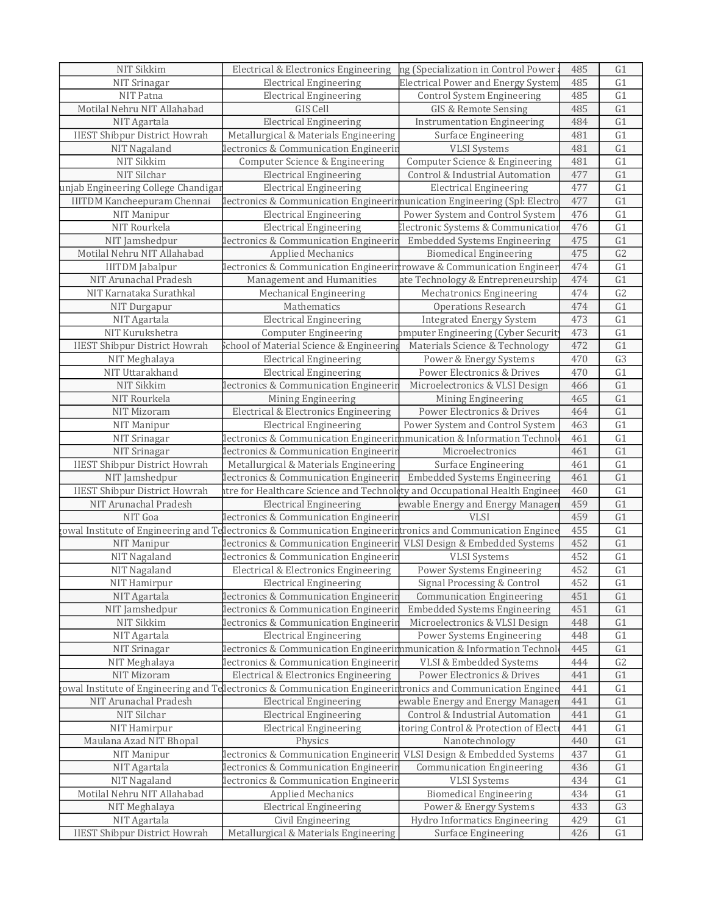| NIT Srinagar<br><b>Electrical Engineering</b><br><b>Electrical Power and Energy System</b><br>485<br>NIT Patna<br>485<br><b>Electrical Engineering</b><br>Control System Engineering<br>Motilal Nehru NIT Allahabad<br>GIS Cell<br>GIS & Remote Sensing<br>485<br><b>Electrical Engineering</b><br>484<br>NIT Agartala<br><b>Instrumentation Engineering</b><br><b>IIEST Shibpur District Howrah</b><br>Metallurgical & Materials Engineering<br>481<br>Surface Engineering<br>NIT Nagaland<br>lectronics & Communication Engineerin<br><b>VLSI</b> Systems<br>481<br>NIT Sikkim<br>Computer Science & Engineering<br>Computer Science & Engineering<br>481<br>NIT Silchar<br>Control & Industrial Automation<br>477<br><b>Electrical Engineering</b><br>unjab Engineering College Chandigar<br><b>Electrical Engineering</b><br>477<br><b>Electrical Engineering</b><br><b>IIITDM Kancheepuram Chennai</b><br>lectronics & Communication Engineerimunication Engineering (Spl: Electro<br>477<br>Power System and Control System<br>NIT Manipur<br>476<br><b>Electrical Engineering</b><br>NIT Rourkela<br>476<br><b>Electrical Engineering</b><br>Electronic Systems & Communication<br>G1<br>NIT Jamshedpur<br>lectronics & Communication Engineerir<br><b>Embedded Systems Engineering</b><br>475<br>G2<br>Motilal Nehru NIT Allahabad<br>475<br><b>Applied Mechanics</b><br><b>Biomedical Engineering</b><br>$\overline{G1}$<br>lectronics & Communication Engineerin rowave & Communication Engineer<br>474<br><b>IIITDM</b> Jabalpur<br>474<br>G1<br>NIT Arunachal Pradesh<br>Management and Humanities<br>ate Technology & Entrepreneurship<br>G2<br>NIT Karnataka Surathkal<br>Mechanical Engineering<br>Mechatronics Engineering<br>474<br>Mathematics<br>G1<br>NIT Durgapur<br><b>Operations Research</b><br>474<br>G1<br>NIT Agartala<br><b>Electrical Engineering</b><br><b>Integrated Energy System</b><br>473<br>$\overline{G1}$<br>NIT Kurukshetra<br>473<br>pmputer Engineering (Cyber Securit<br><b>Computer Engineering</b><br><b>IIEST Shibpur District Howrah</b><br>G1<br>School of Material Science & Engineerin<br>472<br>Materials Science & Technology<br>$\overline{G3}$<br>470<br>NIT Meghalaya<br><b>Electrical Engineering</b><br>Power & Energy Systems<br>NIT Uttarakhand<br>G1<br><b>Electrical Engineering</b><br>Power Electronics & Drives<br>470<br>G1<br>NIT Sikkim<br>lectronics & Communication Engineerin<br>Microelectronics & VLSI Design<br>466<br>$\overline{G1}$<br>NIT Rourkela<br>465<br>Mining Engineering<br>Mining Engineering<br>Electrical & Electronics Engineering<br>G1<br>NIT Mizoram<br>Power Electronics & Drives<br>464<br><b>Electrical Engineering</b><br>Power System and Control System<br>463<br>NIT Manipur<br>NIT Srinagar<br>lectronics & Communication Engineerimmunication & Information Technol<br>461<br>Microelectronics<br>461<br>NIT Srinagar<br>lectronics & Communication Engineerir<br><b>IIEST Shibpur District Howrah</b><br>Surface Engineering<br>461<br>Metallurgical & Materials Engineering<br><b>Embedded Systems Engineering</b><br>461<br>NIT Jamshedpur<br>lectronics & Communication Engineerin<br><b>IIEST Shibpur District Howrah</b><br>460<br>tre for Healthcare Science and Technolety and Occupational Health Enginee<br>NIT Arunachal Pradesh<br>ewable Energy and Energy Manager<br>459<br><b>Electrical Engineering</b><br>VLSI<br>459<br>NIT Goa<br>lectronics & Communication Engineerin<br>$\overline{G1}$<br>gowal Institute of Engineering and Tellectronics & Communication Engineerintronics and Communication Enginee<br>455<br>G1<br>lectronics & Communication Engineeri<br>VLSI Design & Embedded Systems<br>452<br>NIT Manipur<br>452<br>G1<br>NIT Nagaland<br><b>VLSI</b> Systems<br>lectronics & Communication Engineerin<br>452<br>G1<br>NIT Nagaland<br>Electrical & Electronics Engineering<br>Power Systems Engineering<br>NIT Hamirpur<br>Electrical Engineering<br>Signal Processing & Control<br>452<br>G <sub>1</sub><br>G1<br>NIT Agartala<br>lectronics & Communication Engineerin<br><b>Communication Engineering</b><br>451<br>NIT Jamshedpur<br>lectronics & Communication Engineerin<br><b>Embedded Systems Engineering</b><br>451<br>G1<br>G1<br>NIT Sikkim<br>448<br>lectronics & Communication Engineerir<br>Microelectronics & VLSI Design<br>NIT Agartala<br>Power Systems Engineering<br>G1<br><b>Electrical Engineering</b><br>448<br>G1<br>lectronics & Communication Engineerimmunication & Information Technol<br>445<br>NIT Srinagar<br>G <sub>2</sub><br>NIT Meghalaya<br>lectronics & Communication Engineerir<br>VLSI & Embedded Systems<br>444<br>G1<br>NIT Mizoram<br>Electrical & Electronics Engineering<br>Power Electronics & Drives<br>441<br>owal Institute of Engineering and Tellectronics & Communication Engineerintronics and Communication Enginee<br>G1<br>441<br>ewable Energy and Energy Managen<br>NIT Arunachal Pradesh<br><b>Electrical Engineering</b><br>441<br>G1<br>NIT Silchar<br>Control & Industrial Automation<br>G1<br><b>Electrical Engineering</b><br>441<br>itoring Control & Protection of Electi<br>NIT Hamirpur<br><b>Electrical Engineering</b><br>441<br>Maulana Azad NIT Bhopal<br>Physics<br>Nanotechnology<br>440<br>437<br>VLSI Design & Embedded Systems<br>NIT Manipur<br>lectronics & Communication Engineerin<br>NIT Agartala<br>lectronics & Communication Engineerir<br><b>Communication Engineering</b><br>436<br>NIT Nagaland<br>434<br>lectronics & Communication Engineerin<br><b>VLSI</b> Systems<br>Motilal Nehru NIT Allahabad<br>Applied Mechanics<br><b>Biomedical Engineering</b><br>434<br>NIT Meghalaya<br><b>Electrical Engineering</b><br>Power & Energy Systems<br>433<br>NIT Agartala<br>429<br>Civil Engineering<br>Hydro Informatics Engineering | NIT Sikkim                           | Electrical & Electronics Engineering  | ng (Specialization in Control Power | 485 | G1              |
|----------------------------------------------------------------------------------------------------------------------------------------------------------------------------------------------------------------------------------------------------------------------------------------------------------------------------------------------------------------------------------------------------------------------------------------------------------------------------------------------------------------------------------------------------------------------------------------------------------------------------------------------------------------------------------------------------------------------------------------------------------------------------------------------------------------------------------------------------------------------------------------------------------------------------------------------------------------------------------------------------------------------------------------------------------------------------------------------------------------------------------------------------------------------------------------------------------------------------------------------------------------------------------------------------------------------------------------------------------------------------------------------------------------------------------------------------------------------------------------------------------------------------------------------------------------------------------------------------------------------------------------------------------------------------------------------------------------------------------------------------------------------------------------------------------------------------------------------------------------------------------------------------------------------------------------------------------------------------------------------------------------------------------------------------------------------------------------------------------------------------------------------------------------------------------------------------------------------------------------------------------------------------------------------------------------------------------------------------------------------------------------------------------------------------------------------------------------------------------------------------------------------------------------------------------------------------------------------------------------------------------------------------------------------------------------------------------------------------------------------------------------------------------------------------------------------------------------------------------------------------------------------------------------------------------------------------------------------------------------------------------------------------------------------------------------------------------------------------------------------------------------------------------------------------------------------------------------------------------------------------------------------------------------------------------------------------------------------------------------------------------------------------------------------------------------------------------------------------------------------------------------------------------------------------------------------------------------------------------------------------------------------------------------------------------------------------------------------------------------------------------------------------------------------------------------------------------------------------------------------------------------------------------------------------------------------------------------------------------------------------------------------------------------------------------------------------------------------------------------------------------------------------------------------------------------------------------------------------------------------------------------------------------------------------------------------------------------------------------------------------------------------------------------------------------------------------------------------------------------------------------------------------------------------------------------------------------------------------------------------------------------------------------------------------------------------------------------------------------------------------------------------------------------------------------------------------------------------------------------------------------------------------------------------------------------------------------------------------------------------------------------------------------------------------------------------------------------------------------------------------------------------------------------------------------------------------------------------------------------------------------------------------------------------------------------------------------------------------------------------------------------------------------------------------------------------------------------------------------------------------------------------------------------------------------------------------------------------------------------------------------------------------------------------------------------------------------------------------------------------------------------------------------------------------------------------------------------------------------------|--------------------------------------|---------------------------------------|-------------------------------------|-----|-----------------|
|                                                                                                                                                                                                                                                                                                                                                                                                                                                                                                                                                                                                                                                                                                                                                                                                                                                                                                                                                                                                                                                                                                                                                                                                                                                                                                                                                                                                                                                                                                                                                                                                                                                                                                                                                                                                                                                                                                                                                                                                                                                                                                                                                                                                                                                                                                                                                                                                                                                                                                                                                                                                                                                                                                                                                                                                                                                                                                                                                                                                                                                                                                                                                                                                                                                                                                                                                                                                                                                                                                                                                                                                                                                                                                                                                                                                                                                                                                                                                                                                                                                                                                                                                                                                                                                                                                                                                                                                                                                                                                                                                                                                                                                                                                                                                                                                                                                                                                                                                                                                                                                                                                                                                                                                                                                                                                                                                                                                                                                                                                                                                                                                                                                                                                                                                                                                                                                                |                                      |                                       |                                     |     | G1              |
|                                                                                                                                                                                                                                                                                                                                                                                                                                                                                                                                                                                                                                                                                                                                                                                                                                                                                                                                                                                                                                                                                                                                                                                                                                                                                                                                                                                                                                                                                                                                                                                                                                                                                                                                                                                                                                                                                                                                                                                                                                                                                                                                                                                                                                                                                                                                                                                                                                                                                                                                                                                                                                                                                                                                                                                                                                                                                                                                                                                                                                                                                                                                                                                                                                                                                                                                                                                                                                                                                                                                                                                                                                                                                                                                                                                                                                                                                                                                                                                                                                                                                                                                                                                                                                                                                                                                                                                                                                                                                                                                                                                                                                                                                                                                                                                                                                                                                                                                                                                                                                                                                                                                                                                                                                                                                                                                                                                                                                                                                                                                                                                                                                                                                                                                                                                                                                                                |                                      |                                       |                                     |     | $\overline{G1}$ |
|                                                                                                                                                                                                                                                                                                                                                                                                                                                                                                                                                                                                                                                                                                                                                                                                                                                                                                                                                                                                                                                                                                                                                                                                                                                                                                                                                                                                                                                                                                                                                                                                                                                                                                                                                                                                                                                                                                                                                                                                                                                                                                                                                                                                                                                                                                                                                                                                                                                                                                                                                                                                                                                                                                                                                                                                                                                                                                                                                                                                                                                                                                                                                                                                                                                                                                                                                                                                                                                                                                                                                                                                                                                                                                                                                                                                                                                                                                                                                                                                                                                                                                                                                                                                                                                                                                                                                                                                                                                                                                                                                                                                                                                                                                                                                                                                                                                                                                                                                                                                                                                                                                                                                                                                                                                                                                                                                                                                                                                                                                                                                                                                                                                                                                                                                                                                                                                                |                                      |                                       |                                     |     | G1              |
|                                                                                                                                                                                                                                                                                                                                                                                                                                                                                                                                                                                                                                                                                                                                                                                                                                                                                                                                                                                                                                                                                                                                                                                                                                                                                                                                                                                                                                                                                                                                                                                                                                                                                                                                                                                                                                                                                                                                                                                                                                                                                                                                                                                                                                                                                                                                                                                                                                                                                                                                                                                                                                                                                                                                                                                                                                                                                                                                                                                                                                                                                                                                                                                                                                                                                                                                                                                                                                                                                                                                                                                                                                                                                                                                                                                                                                                                                                                                                                                                                                                                                                                                                                                                                                                                                                                                                                                                                                                                                                                                                                                                                                                                                                                                                                                                                                                                                                                                                                                                                                                                                                                                                                                                                                                                                                                                                                                                                                                                                                                                                                                                                                                                                                                                                                                                                                                                |                                      |                                       |                                     |     | G1              |
|                                                                                                                                                                                                                                                                                                                                                                                                                                                                                                                                                                                                                                                                                                                                                                                                                                                                                                                                                                                                                                                                                                                                                                                                                                                                                                                                                                                                                                                                                                                                                                                                                                                                                                                                                                                                                                                                                                                                                                                                                                                                                                                                                                                                                                                                                                                                                                                                                                                                                                                                                                                                                                                                                                                                                                                                                                                                                                                                                                                                                                                                                                                                                                                                                                                                                                                                                                                                                                                                                                                                                                                                                                                                                                                                                                                                                                                                                                                                                                                                                                                                                                                                                                                                                                                                                                                                                                                                                                                                                                                                                                                                                                                                                                                                                                                                                                                                                                                                                                                                                                                                                                                                                                                                                                                                                                                                                                                                                                                                                                                                                                                                                                                                                                                                                                                                                                                                |                                      |                                       |                                     |     | $\overline{G1}$ |
|                                                                                                                                                                                                                                                                                                                                                                                                                                                                                                                                                                                                                                                                                                                                                                                                                                                                                                                                                                                                                                                                                                                                                                                                                                                                                                                                                                                                                                                                                                                                                                                                                                                                                                                                                                                                                                                                                                                                                                                                                                                                                                                                                                                                                                                                                                                                                                                                                                                                                                                                                                                                                                                                                                                                                                                                                                                                                                                                                                                                                                                                                                                                                                                                                                                                                                                                                                                                                                                                                                                                                                                                                                                                                                                                                                                                                                                                                                                                                                                                                                                                                                                                                                                                                                                                                                                                                                                                                                                                                                                                                                                                                                                                                                                                                                                                                                                                                                                                                                                                                                                                                                                                                                                                                                                                                                                                                                                                                                                                                                                                                                                                                                                                                                                                                                                                                                                                |                                      |                                       |                                     |     | G1              |
|                                                                                                                                                                                                                                                                                                                                                                                                                                                                                                                                                                                                                                                                                                                                                                                                                                                                                                                                                                                                                                                                                                                                                                                                                                                                                                                                                                                                                                                                                                                                                                                                                                                                                                                                                                                                                                                                                                                                                                                                                                                                                                                                                                                                                                                                                                                                                                                                                                                                                                                                                                                                                                                                                                                                                                                                                                                                                                                                                                                                                                                                                                                                                                                                                                                                                                                                                                                                                                                                                                                                                                                                                                                                                                                                                                                                                                                                                                                                                                                                                                                                                                                                                                                                                                                                                                                                                                                                                                                                                                                                                                                                                                                                                                                                                                                                                                                                                                                                                                                                                                                                                                                                                                                                                                                                                                                                                                                                                                                                                                                                                                                                                                                                                                                                                                                                                                                                |                                      |                                       |                                     |     | G1              |
|                                                                                                                                                                                                                                                                                                                                                                                                                                                                                                                                                                                                                                                                                                                                                                                                                                                                                                                                                                                                                                                                                                                                                                                                                                                                                                                                                                                                                                                                                                                                                                                                                                                                                                                                                                                                                                                                                                                                                                                                                                                                                                                                                                                                                                                                                                                                                                                                                                                                                                                                                                                                                                                                                                                                                                                                                                                                                                                                                                                                                                                                                                                                                                                                                                                                                                                                                                                                                                                                                                                                                                                                                                                                                                                                                                                                                                                                                                                                                                                                                                                                                                                                                                                                                                                                                                                                                                                                                                                                                                                                                                                                                                                                                                                                                                                                                                                                                                                                                                                                                                                                                                                                                                                                                                                                                                                                                                                                                                                                                                                                                                                                                                                                                                                                                                                                                                                                |                                      |                                       |                                     |     | G1              |
|                                                                                                                                                                                                                                                                                                                                                                                                                                                                                                                                                                                                                                                                                                                                                                                                                                                                                                                                                                                                                                                                                                                                                                                                                                                                                                                                                                                                                                                                                                                                                                                                                                                                                                                                                                                                                                                                                                                                                                                                                                                                                                                                                                                                                                                                                                                                                                                                                                                                                                                                                                                                                                                                                                                                                                                                                                                                                                                                                                                                                                                                                                                                                                                                                                                                                                                                                                                                                                                                                                                                                                                                                                                                                                                                                                                                                                                                                                                                                                                                                                                                                                                                                                                                                                                                                                                                                                                                                                                                                                                                                                                                                                                                                                                                                                                                                                                                                                                                                                                                                                                                                                                                                                                                                                                                                                                                                                                                                                                                                                                                                                                                                                                                                                                                                                                                                                                                |                                      |                                       |                                     |     | G1              |
|                                                                                                                                                                                                                                                                                                                                                                                                                                                                                                                                                                                                                                                                                                                                                                                                                                                                                                                                                                                                                                                                                                                                                                                                                                                                                                                                                                                                                                                                                                                                                                                                                                                                                                                                                                                                                                                                                                                                                                                                                                                                                                                                                                                                                                                                                                                                                                                                                                                                                                                                                                                                                                                                                                                                                                                                                                                                                                                                                                                                                                                                                                                                                                                                                                                                                                                                                                                                                                                                                                                                                                                                                                                                                                                                                                                                                                                                                                                                                                                                                                                                                                                                                                                                                                                                                                                                                                                                                                                                                                                                                                                                                                                                                                                                                                                                                                                                                                                                                                                                                                                                                                                                                                                                                                                                                                                                                                                                                                                                                                                                                                                                                                                                                                                                                                                                                                                                |                                      |                                       |                                     |     | $\overline{G1}$ |
|                                                                                                                                                                                                                                                                                                                                                                                                                                                                                                                                                                                                                                                                                                                                                                                                                                                                                                                                                                                                                                                                                                                                                                                                                                                                                                                                                                                                                                                                                                                                                                                                                                                                                                                                                                                                                                                                                                                                                                                                                                                                                                                                                                                                                                                                                                                                                                                                                                                                                                                                                                                                                                                                                                                                                                                                                                                                                                                                                                                                                                                                                                                                                                                                                                                                                                                                                                                                                                                                                                                                                                                                                                                                                                                                                                                                                                                                                                                                                                                                                                                                                                                                                                                                                                                                                                                                                                                                                                                                                                                                                                                                                                                                                                                                                                                                                                                                                                                                                                                                                                                                                                                                                                                                                                                                                                                                                                                                                                                                                                                                                                                                                                                                                                                                                                                                                                                                |                                      |                                       |                                     |     | G1              |
|                                                                                                                                                                                                                                                                                                                                                                                                                                                                                                                                                                                                                                                                                                                                                                                                                                                                                                                                                                                                                                                                                                                                                                                                                                                                                                                                                                                                                                                                                                                                                                                                                                                                                                                                                                                                                                                                                                                                                                                                                                                                                                                                                                                                                                                                                                                                                                                                                                                                                                                                                                                                                                                                                                                                                                                                                                                                                                                                                                                                                                                                                                                                                                                                                                                                                                                                                                                                                                                                                                                                                                                                                                                                                                                                                                                                                                                                                                                                                                                                                                                                                                                                                                                                                                                                                                                                                                                                                                                                                                                                                                                                                                                                                                                                                                                                                                                                                                                                                                                                                                                                                                                                                                                                                                                                                                                                                                                                                                                                                                                                                                                                                                                                                                                                                                                                                                                                |                                      |                                       |                                     |     | $\overline{G1}$ |
|                                                                                                                                                                                                                                                                                                                                                                                                                                                                                                                                                                                                                                                                                                                                                                                                                                                                                                                                                                                                                                                                                                                                                                                                                                                                                                                                                                                                                                                                                                                                                                                                                                                                                                                                                                                                                                                                                                                                                                                                                                                                                                                                                                                                                                                                                                                                                                                                                                                                                                                                                                                                                                                                                                                                                                                                                                                                                                                                                                                                                                                                                                                                                                                                                                                                                                                                                                                                                                                                                                                                                                                                                                                                                                                                                                                                                                                                                                                                                                                                                                                                                                                                                                                                                                                                                                                                                                                                                                                                                                                                                                                                                                                                                                                                                                                                                                                                                                                                                                                                                                                                                                                                                                                                                                                                                                                                                                                                                                                                                                                                                                                                                                                                                                                                                                                                                                                                |                                      |                                       |                                     |     |                 |
|                                                                                                                                                                                                                                                                                                                                                                                                                                                                                                                                                                                                                                                                                                                                                                                                                                                                                                                                                                                                                                                                                                                                                                                                                                                                                                                                                                                                                                                                                                                                                                                                                                                                                                                                                                                                                                                                                                                                                                                                                                                                                                                                                                                                                                                                                                                                                                                                                                                                                                                                                                                                                                                                                                                                                                                                                                                                                                                                                                                                                                                                                                                                                                                                                                                                                                                                                                                                                                                                                                                                                                                                                                                                                                                                                                                                                                                                                                                                                                                                                                                                                                                                                                                                                                                                                                                                                                                                                                                                                                                                                                                                                                                                                                                                                                                                                                                                                                                                                                                                                                                                                                                                                                                                                                                                                                                                                                                                                                                                                                                                                                                                                                                                                                                                                                                                                                                                |                                      |                                       |                                     |     |                 |
|                                                                                                                                                                                                                                                                                                                                                                                                                                                                                                                                                                                                                                                                                                                                                                                                                                                                                                                                                                                                                                                                                                                                                                                                                                                                                                                                                                                                                                                                                                                                                                                                                                                                                                                                                                                                                                                                                                                                                                                                                                                                                                                                                                                                                                                                                                                                                                                                                                                                                                                                                                                                                                                                                                                                                                                                                                                                                                                                                                                                                                                                                                                                                                                                                                                                                                                                                                                                                                                                                                                                                                                                                                                                                                                                                                                                                                                                                                                                                                                                                                                                                                                                                                                                                                                                                                                                                                                                                                                                                                                                                                                                                                                                                                                                                                                                                                                                                                                                                                                                                                                                                                                                                                                                                                                                                                                                                                                                                                                                                                                                                                                                                                                                                                                                                                                                                                                                |                                      |                                       |                                     |     |                 |
|                                                                                                                                                                                                                                                                                                                                                                                                                                                                                                                                                                                                                                                                                                                                                                                                                                                                                                                                                                                                                                                                                                                                                                                                                                                                                                                                                                                                                                                                                                                                                                                                                                                                                                                                                                                                                                                                                                                                                                                                                                                                                                                                                                                                                                                                                                                                                                                                                                                                                                                                                                                                                                                                                                                                                                                                                                                                                                                                                                                                                                                                                                                                                                                                                                                                                                                                                                                                                                                                                                                                                                                                                                                                                                                                                                                                                                                                                                                                                                                                                                                                                                                                                                                                                                                                                                                                                                                                                                                                                                                                                                                                                                                                                                                                                                                                                                                                                                                                                                                                                                                                                                                                                                                                                                                                                                                                                                                                                                                                                                                                                                                                                                                                                                                                                                                                                                                                |                                      |                                       |                                     |     |                 |
|                                                                                                                                                                                                                                                                                                                                                                                                                                                                                                                                                                                                                                                                                                                                                                                                                                                                                                                                                                                                                                                                                                                                                                                                                                                                                                                                                                                                                                                                                                                                                                                                                                                                                                                                                                                                                                                                                                                                                                                                                                                                                                                                                                                                                                                                                                                                                                                                                                                                                                                                                                                                                                                                                                                                                                                                                                                                                                                                                                                                                                                                                                                                                                                                                                                                                                                                                                                                                                                                                                                                                                                                                                                                                                                                                                                                                                                                                                                                                                                                                                                                                                                                                                                                                                                                                                                                                                                                                                                                                                                                                                                                                                                                                                                                                                                                                                                                                                                                                                                                                                                                                                                                                                                                                                                                                                                                                                                                                                                                                                                                                                                                                                                                                                                                                                                                                                                                |                                      |                                       |                                     |     |                 |
|                                                                                                                                                                                                                                                                                                                                                                                                                                                                                                                                                                                                                                                                                                                                                                                                                                                                                                                                                                                                                                                                                                                                                                                                                                                                                                                                                                                                                                                                                                                                                                                                                                                                                                                                                                                                                                                                                                                                                                                                                                                                                                                                                                                                                                                                                                                                                                                                                                                                                                                                                                                                                                                                                                                                                                                                                                                                                                                                                                                                                                                                                                                                                                                                                                                                                                                                                                                                                                                                                                                                                                                                                                                                                                                                                                                                                                                                                                                                                                                                                                                                                                                                                                                                                                                                                                                                                                                                                                                                                                                                                                                                                                                                                                                                                                                                                                                                                                                                                                                                                                                                                                                                                                                                                                                                                                                                                                                                                                                                                                                                                                                                                                                                                                                                                                                                                                                                |                                      |                                       |                                     |     |                 |
|                                                                                                                                                                                                                                                                                                                                                                                                                                                                                                                                                                                                                                                                                                                                                                                                                                                                                                                                                                                                                                                                                                                                                                                                                                                                                                                                                                                                                                                                                                                                                                                                                                                                                                                                                                                                                                                                                                                                                                                                                                                                                                                                                                                                                                                                                                                                                                                                                                                                                                                                                                                                                                                                                                                                                                                                                                                                                                                                                                                                                                                                                                                                                                                                                                                                                                                                                                                                                                                                                                                                                                                                                                                                                                                                                                                                                                                                                                                                                                                                                                                                                                                                                                                                                                                                                                                                                                                                                                                                                                                                                                                                                                                                                                                                                                                                                                                                                                                                                                                                                                                                                                                                                                                                                                                                                                                                                                                                                                                                                                                                                                                                                                                                                                                                                                                                                                                                |                                      |                                       |                                     |     |                 |
|                                                                                                                                                                                                                                                                                                                                                                                                                                                                                                                                                                                                                                                                                                                                                                                                                                                                                                                                                                                                                                                                                                                                                                                                                                                                                                                                                                                                                                                                                                                                                                                                                                                                                                                                                                                                                                                                                                                                                                                                                                                                                                                                                                                                                                                                                                                                                                                                                                                                                                                                                                                                                                                                                                                                                                                                                                                                                                                                                                                                                                                                                                                                                                                                                                                                                                                                                                                                                                                                                                                                                                                                                                                                                                                                                                                                                                                                                                                                                                                                                                                                                                                                                                                                                                                                                                                                                                                                                                                                                                                                                                                                                                                                                                                                                                                                                                                                                                                                                                                                                                                                                                                                                                                                                                                                                                                                                                                                                                                                                                                                                                                                                                                                                                                                                                                                                                                                |                                      |                                       |                                     |     |                 |
|                                                                                                                                                                                                                                                                                                                                                                                                                                                                                                                                                                                                                                                                                                                                                                                                                                                                                                                                                                                                                                                                                                                                                                                                                                                                                                                                                                                                                                                                                                                                                                                                                                                                                                                                                                                                                                                                                                                                                                                                                                                                                                                                                                                                                                                                                                                                                                                                                                                                                                                                                                                                                                                                                                                                                                                                                                                                                                                                                                                                                                                                                                                                                                                                                                                                                                                                                                                                                                                                                                                                                                                                                                                                                                                                                                                                                                                                                                                                                                                                                                                                                                                                                                                                                                                                                                                                                                                                                                                                                                                                                                                                                                                                                                                                                                                                                                                                                                                                                                                                                                                                                                                                                                                                                                                                                                                                                                                                                                                                                                                                                                                                                                                                                                                                                                                                                                                                |                                      |                                       |                                     |     |                 |
|                                                                                                                                                                                                                                                                                                                                                                                                                                                                                                                                                                                                                                                                                                                                                                                                                                                                                                                                                                                                                                                                                                                                                                                                                                                                                                                                                                                                                                                                                                                                                                                                                                                                                                                                                                                                                                                                                                                                                                                                                                                                                                                                                                                                                                                                                                                                                                                                                                                                                                                                                                                                                                                                                                                                                                                                                                                                                                                                                                                                                                                                                                                                                                                                                                                                                                                                                                                                                                                                                                                                                                                                                                                                                                                                                                                                                                                                                                                                                                                                                                                                                                                                                                                                                                                                                                                                                                                                                                                                                                                                                                                                                                                                                                                                                                                                                                                                                                                                                                                                                                                                                                                                                                                                                                                                                                                                                                                                                                                                                                                                                                                                                                                                                                                                                                                                                                                                |                                      |                                       |                                     |     |                 |
|                                                                                                                                                                                                                                                                                                                                                                                                                                                                                                                                                                                                                                                                                                                                                                                                                                                                                                                                                                                                                                                                                                                                                                                                                                                                                                                                                                                                                                                                                                                                                                                                                                                                                                                                                                                                                                                                                                                                                                                                                                                                                                                                                                                                                                                                                                                                                                                                                                                                                                                                                                                                                                                                                                                                                                                                                                                                                                                                                                                                                                                                                                                                                                                                                                                                                                                                                                                                                                                                                                                                                                                                                                                                                                                                                                                                                                                                                                                                                                                                                                                                                                                                                                                                                                                                                                                                                                                                                                                                                                                                                                                                                                                                                                                                                                                                                                                                                                                                                                                                                                                                                                                                                                                                                                                                                                                                                                                                                                                                                                                                                                                                                                                                                                                                                                                                                                                                |                                      |                                       |                                     |     |                 |
|                                                                                                                                                                                                                                                                                                                                                                                                                                                                                                                                                                                                                                                                                                                                                                                                                                                                                                                                                                                                                                                                                                                                                                                                                                                                                                                                                                                                                                                                                                                                                                                                                                                                                                                                                                                                                                                                                                                                                                                                                                                                                                                                                                                                                                                                                                                                                                                                                                                                                                                                                                                                                                                                                                                                                                                                                                                                                                                                                                                                                                                                                                                                                                                                                                                                                                                                                                                                                                                                                                                                                                                                                                                                                                                                                                                                                                                                                                                                                                                                                                                                                                                                                                                                                                                                                                                                                                                                                                                                                                                                                                                                                                                                                                                                                                                                                                                                                                                                                                                                                                                                                                                                                                                                                                                                                                                                                                                                                                                                                                                                                                                                                                                                                                                                                                                                                                                                |                                      |                                       |                                     |     |                 |
|                                                                                                                                                                                                                                                                                                                                                                                                                                                                                                                                                                                                                                                                                                                                                                                                                                                                                                                                                                                                                                                                                                                                                                                                                                                                                                                                                                                                                                                                                                                                                                                                                                                                                                                                                                                                                                                                                                                                                                                                                                                                                                                                                                                                                                                                                                                                                                                                                                                                                                                                                                                                                                                                                                                                                                                                                                                                                                                                                                                                                                                                                                                                                                                                                                                                                                                                                                                                                                                                                                                                                                                                                                                                                                                                                                                                                                                                                                                                                                                                                                                                                                                                                                                                                                                                                                                                                                                                                                                                                                                                                                                                                                                                                                                                                                                                                                                                                                                                                                                                                                                                                                                                                                                                                                                                                                                                                                                                                                                                                                                                                                                                                                                                                                                                                                                                                                                                |                                      |                                       |                                     |     |                 |
|                                                                                                                                                                                                                                                                                                                                                                                                                                                                                                                                                                                                                                                                                                                                                                                                                                                                                                                                                                                                                                                                                                                                                                                                                                                                                                                                                                                                                                                                                                                                                                                                                                                                                                                                                                                                                                                                                                                                                                                                                                                                                                                                                                                                                                                                                                                                                                                                                                                                                                                                                                                                                                                                                                                                                                                                                                                                                                                                                                                                                                                                                                                                                                                                                                                                                                                                                                                                                                                                                                                                                                                                                                                                                                                                                                                                                                                                                                                                                                                                                                                                                                                                                                                                                                                                                                                                                                                                                                                                                                                                                                                                                                                                                                                                                                                                                                                                                                                                                                                                                                                                                                                                                                                                                                                                                                                                                                                                                                                                                                                                                                                                                                                                                                                                                                                                                                                                |                                      |                                       |                                     |     |                 |
|                                                                                                                                                                                                                                                                                                                                                                                                                                                                                                                                                                                                                                                                                                                                                                                                                                                                                                                                                                                                                                                                                                                                                                                                                                                                                                                                                                                                                                                                                                                                                                                                                                                                                                                                                                                                                                                                                                                                                                                                                                                                                                                                                                                                                                                                                                                                                                                                                                                                                                                                                                                                                                                                                                                                                                                                                                                                                                                                                                                                                                                                                                                                                                                                                                                                                                                                                                                                                                                                                                                                                                                                                                                                                                                                                                                                                                                                                                                                                                                                                                                                                                                                                                                                                                                                                                                                                                                                                                                                                                                                                                                                                                                                                                                                                                                                                                                                                                                                                                                                                                                                                                                                                                                                                                                                                                                                                                                                                                                                                                                                                                                                                                                                                                                                                                                                                                                                |                                      |                                       |                                     |     |                 |
|                                                                                                                                                                                                                                                                                                                                                                                                                                                                                                                                                                                                                                                                                                                                                                                                                                                                                                                                                                                                                                                                                                                                                                                                                                                                                                                                                                                                                                                                                                                                                                                                                                                                                                                                                                                                                                                                                                                                                                                                                                                                                                                                                                                                                                                                                                                                                                                                                                                                                                                                                                                                                                                                                                                                                                                                                                                                                                                                                                                                                                                                                                                                                                                                                                                                                                                                                                                                                                                                                                                                                                                                                                                                                                                                                                                                                                                                                                                                                                                                                                                                                                                                                                                                                                                                                                                                                                                                                                                                                                                                                                                                                                                                                                                                                                                                                                                                                                                                                                                                                                                                                                                                                                                                                                                                                                                                                                                                                                                                                                                                                                                                                                                                                                                                                                                                                                                                |                                      |                                       |                                     |     | $\overline{G1}$ |
|                                                                                                                                                                                                                                                                                                                                                                                                                                                                                                                                                                                                                                                                                                                                                                                                                                                                                                                                                                                                                                                                                                                                                                                                                                                                                                                                                                                                                                                                                                                                                                                                                                                                                                                                                                                                                                                                                                                                                                                                                                                                                                                                                                                                                                                                                                                                                                                                                                                                                                                                                                                                                                                                                                                                                                                                                                                                                                                                                                                                                                                                                                                                                                                                                                                                                                                                                                                                                                                                                                                                                                                                                                                                                                                                                                                                                                                                                                                                                                                                                                                                                                                                                                                                                                                                                                                                                                                                                                                                                                                                                                                                                                                                                                                                                                                                                                                                                                                                                                                                                                                                                                                                                                                                                                                                                                                                                                                                                                                                                                                                                                                                                                                                                                                                                                                                                                                                |                                      |                                       |                                     |     | G1              |
|                                                                                                                                                                                                                                                                                                                                                                                                                                                                                                                                                                                                                                                                                                                                                                                                                                                                                                                                                                                                                                                                                                                                                                                                                                                                                                                                                                                                                                                                                                                                                                                                                                                                                                                                                                                                                                                                                                                                                                                                                                                                                                                                                                                                                                                                                                                                                                                                                                                                                                                                                                                                                                                                                                                                                                                                                                                                                                                                                                                                                                                                                                                                                                                                                                                                                                                                                                                                                                                                                                                                                                                                                                                                                                                                                                                                                                                                                                                                                                                                                                                                                                                                                                                                                                                                                                                                                                                                                                                                                                                                                                                                                                                                                                                                                                                                                                                                                                                                                                                                                                                                                                                                                                                                                                                                                                                                                                                                                                                                                                                                                                                                                                                                                                                                                                                                                                                                |                                      |                                       |                                     |     | G1              |
|                                                                                                                                                                                                                                                                                                                                                                                                                                                                                                                                                                                                                                                                                                                                                                                                                                                                                                                                                                                                                                                                                                                                                                                                                                                                                                                                                                                                                                                                                                                                                                                                                                                                                                                                                                                                                                                                                                                                                                                                                                                                                                                                                                                                                                                                                                                                                                                                                                                                                                                                                                                                                                                                                                                                                                                                                                                                                                                                                                                                                                                                                                                                                                                                                                                                                                                                                                                                                                                                                                                                                                                                                                                                                                                                                                                                                                                                                                                                                                                                                                                                                                                                                                                                                                                                                                                                                                                                                                                                                                                                                                                                                                                                                                                                                                                                                                                                                                                                                                                                                                                                                                                                                                                                                                                                                                                                                                                                                                                                                                                                                                                                                                                                                                                                                                                                                                                                |                                      |                                       |                                     |     | $\overline{G1}$ |
|                                                                                                                                                                                                                                                                                                                                                                                                                                                                                                                                                                                                                                                                                                                                                                                                                                                                                                                                                                                                                                                                                                                                                                                                                                                                                                                                                                                                                                                                                                                                                                                                                                                                                                                                                                                                                                                                                                                                                                                                                                                                                                                                                                                                                                                                                                                                                                                                                                                                                                                                                                                                                                                                                                                                                                                                                                                                                                                                                                                                                                                                                                                                                                                                                                                                                                                                                                                                                                                                                                                                                                                                                                                                                                                                                                                                                                                                                                                                                                                                                                                                                                                                                                                                                                                                                                                                                                                                                                                                                                                                                                                                                                                                                                                                                                                                                                                                                                                                                                                                                                                                                                                                                                                                                                                                                                                                                                                                                                                                                                                                                                                                                                                                                                                                                                                                                                                                |                                      |                                       |                                     |     | G1              |
|                                                                                                                                                                                                                                                                                                                                                                                                                                                                                                                                                                                                                                                                                                                                                                                                                                                                                                                                                                                                                                                                                                                                                                                                                                                                                                                                                                                                                                                                                                                                                                                                                                                                                                                                                                                                                                                                                                                                                                                                                                                                                                                                                                                                                                                                                                                                                                                                                                                                                                                                                                                                                                                                                                                                                                                                                                                                                                                                                                                                                                                                                                                                                                                                                                                                                                                                                                                                                                                                                                                                                                                                                                                                                                                                                                                                                                                                                                                                                                                                                                                                                                                                                                                                                                                                                                                                                                                                                                                                                                                                                                                                                                                                                                                                                                                                                                                                                                                                                                                                                                                                                                                                                                                                                                                                                                                                                                                                                                                                                                                                                                                                                                                                                                                                                                                                                                                                |                                      |                                       |                                     |     | $\overline{G1}$ |
|                                                                                                                                                                                                                                                                                                                                                                                                                                                                                                                                                                                                                                                                                                                                                                                                                                                                                                                                                                                                                                                                                                                                                                                                                                                                                                                                                                                                                                                                                                                                                                                                                                                                                                                                                                                                                                                                                                                                                                                                                                                                                                                                                                                                                                                                                                                                                                                                                                                                                                                                                                                                                                                                                                                                                                                                                                                                                                                                                                                                                                                                                                                                                                                                                                                                                                                                                                                                                                                                                                                                                                                                                                                                                                                                                                                                                                                                                                                                                                                                                                                                                                                                                                                                                                                                                                                                                                                                                                                                                                                                                                                                                                                                                                                                                                                                                                                                                                                                                                                                                                                                                                                                                                                                                                                                                                                                                                                                                                                                                                                                                                                                                                                                                                                                                                                                                                                                |                                      |                                       |                                     |     | G1              |
|                                                                                                                                                                                                                                                                                                                                                                                                                                                                                                                                                                                                                                                                                                                                                                                                                                                                                                                                                                                                                                                                                                                                                                                                                                                                                                                                                                                                                                                                                                                                                                                                                                                                                                                                                                                                                                                                                                                                                                                                                                                                                                                                                                                                                                                                                                                                                                                                                                                                                                                                                                                                                                                                                                                                                                                                                                                                                                                                                                                                                                                                                                                                                                                                                                                                                                                                                                                                                                                                                                                                                                                                                                                                                                                                                                                                                                                                                                                                                                                                                                                                                                                                                                                                                                                                                                                                                                                                                                                                                                                                                                                                                                                                                                                                                                                                                                                                                                                                                                                                                                                                                                                                                                                                                                                                                                                                                                                                                                                                                                                                                                                                                                                                                                                                                                                                                                                                |                                      |                                       |                                     |     | G1              |
|                                                                                                                                                                                                                                                                                                                                                                                                                                                                                                                                                                                                                                                                                                                                                                                                                                                                                                                                                                                                                                                                                                                                                                                                                                                                                                                                                                                                                                                                                                                                                                                                                                                                                                                                                                                                                                                                                                                                                                                                                                                                                                                                                                                                                                                                                                                                                                                                                                                                                                                                                                                                                                                                                                                                                                                                                                                                                                                                                                                                                                                                                                                                                                                                                                                                                                                                                                                                                                                                                                                                                                                                                                                                                                                                                                                                                                                                                                                                                                                                                                                                                                                                                                                                                                                                                                                                                                                                                                                                                                                                                                                                                                                                                                                                                                                                                                                                                                                                                                                                                                                                                                                                                                                                                                                                                                                                                                                                                                                                                                                                                                                                                                                                                                                                                                                                                                                                |                                      |                                       |                                     |     |                 |
|                                                                                                                                                                                                                                                                                                                                                                                                                                                                                                                                                                                                                                                                                                                                                                                                                                                                                                                                                                                                                                                                                                                                                                                                                                                                                                                                                                                                                                                                                                                                                                                                                                                                                                                                                                                                                                                                                                                                                                                                                                                                                                                                                                                                                                                                                                                                                                                                                                                                                                                                                                                                                                                                                                                                                                                                                                                                                                                                                                                                                                                                                                                                                                                                                                                                                                                                                                                                                                                                                                                                                                                                                                                                                                                                                                                                                                                                                                                                                                                                                                                                                                                                                                                                                                                                                                                                                                                                                                                                                                                                                                                                                                                                                                                                                                                                                                                                                                                                                                                                                                                                                                                                                                                                                                                                                                                                                                                                                                                                                                                                                                                                                                                                                                                                                                                                                                                                |                                      |                                       |                                     |     |                 |
|                                                                                                                                                                                                                                                                                                                                                                                                                                                                                                                                                                                                                                                                                                                                                                                                                                                                                                                                                                                                                                                                                                                                                                                                                                                                                                                                                                                                                                                                                                                                                                                                                                                                                                                                                                                                                                                                                                                                                                                                                                                                                                                                                                                                                                                                                                                                                                                                                                                                                                                                                                                                                                                                                                                                                                                                                                                                                                                                                                                                                                                                                                                                                                                                                                                                                                                                                                                                                                                                                                                                                                                                                                                                                                                                                                                                                                                                                                                                                                                                                                                                                                                                                                                                                                                                                                                                                                                                                                                                                                                                                                                                                                                                                                                                                                                                                                                                                                                                                                                                                                                                                                                                                                                                                                                                                                                                                                                                                                                                                                                                                                                                                                                                                                                                                                                                                                                                |                                      |                                       |                                     |     |                 |
|                                                                                                                                                                                                                                                                                                                                                                                                                                                                                                                                                                                                                                                                                                                                                                                                                                                                                                                                                                                                                                                                                                                                                                                                                                                                                                                                                                                                                                                                                                                                                                                                                                                                                                                                                                                                                                                                                                                                                                                                                                                                                                                                                                                                                                                                                                                                                                                                                                                                                                                                                                                                                                                                                                                                                                                                                                                                                                                                                                                                                                                                                                                                                                                                                                                                                                                                                                                                                                                                                                                                                                                                                                                                                                                                                                                                                                                                                                                                                                                                                                                                                                                                                                                                                                                                                                                                                                                                                                                                                                                                                                                                                                                                                                                                                                                                                                                                                                                                                                                                                                                                                                                                                                                                                                                                                                                                                                                                                                                                                                                                                                                                                                                                                                                                                                                                                                                                |                                      |                                       |                                     |     |                 |
|                                                                                                                                                                                                                                                                                                                                                                                                                                                                                                                                                                                                                                                                                                                                                                                                                                                                                                                                                                                                                                                                                                                                                                                                                                                                                                                                                                                                                                                                                                                                                                                                                                                                                                                                                                                                                                                                                                                                                                                                                                                                                                                                                                                                                                                                                                                                                                                                                                                                                                                                                                                                                                                                                                                                                                                                                                                                                                                                                                                                                                                                                                                                                                                                                                                                                                                                                                                                                                                                                                                                                                                                                                                                                                                                                                                                                                                                                                                                                                                                                                                                                                                                                                                                                                                                                                                                                                                                                                                                                                                                                                                                                                                                                                                                                                                                                                                                                                                                                                                                                                                                                                                                                                                                                                                                                                                                                                                                                                                                                                                                                                                                                                                                                                                                                                                                                                                                |                                      |                                       |                                     |     |                 |
|                                                                                                                                                                                                                                                                                                                                                                                                                                                                                                                                                                                                                                                                                                                                                                                                                                                                                                                                                                                                                                                                                                                                                                                                                                                                                                                                                                                                                                                                                                                                                                                                                                                                                                                                                                                                                                                                                                                                                                                                                                                                                                                                                                                                                                                                                                                                                                                                                                                                                                                                                                                                                                                                                                                                                                                                                                                                                                                                                                                                                                                                                                                                                                                                                                                                                                                                                                                                                                                                                                                                                                                                                                                                                                                                                                                                                                                                                                                                                                                                                                                                                                                                                                                                                                                                                                                                                                                                                                                                                                                                                                                                                                                                                                                                                                                                                                                                                                                                                                                                                                                                                                                                                                                                                                                                                                                                                                                                                                                                                                                                                                                                                                                                                                                                                                                                                                                                |                                      |                                       |                                     |     |                 |
|                                                                                                                                                                                                                                                                                                                                                                                                                                                                                                                                                                                                                                                                                                                                                                                                                                                                                                                                                                                                                                                                                                                                                                                                                                                                                                                                                                                                                                                                                                                                                                                                                                                                                                                                                                                                                                                                                                                                                                                                                                                                                                                                                                                                                                                                                                                                                                                                                                                                                                                                                                                                                                                                                                                                                                                                                                                                                                                                                                                                                                                                                                                                                                                                                                                                                                                                                                                                                                                                                                                                                                                                                                                                                                                                                                                                                                                                                                                                                                                                                                                                                                                                                                                                                                                                                                                                                                                                                                                                                                                                                                                                                                                                                                                                                                                                                                                                                                                                                                                                                                                                                                                                                                                                                                                                                                                                                                                                                                                                                                                                                                                                                                                                                                                                                                                                                                                                |                                      |                                       |                                     |     |                 |
|                                                                                                                                                                                                                                                                                                                                                                                                                                                                                                                                                                                                                                                                                                                                                                                                                                                                                                                                                                                                                                                                                                                                                                                                                                                                                                                                                                                                                                                                                                                                                                                                                                                                                                                                                                                                                                                                                                                                                                                                                                                                                                                                                                                                                                                                                                                                                                                                                                                                                                                                                                                                                                                                                                                                                                                                                                                                                                                                                                                                                                                                                                                                                                                                                                                                                                                                                                                                                                                                                                                                                                                                                                                                                                                                                                                                                                                                                                                                                                                                                                                                                                                                                                                                                                                                                                                                                                                                                                                                                                                                                                                                                                                                                                                                                                                                                                                                                                                                                                                                                                                                                                                                                                                                                                                                                                                                                                                                                                                                                                                                                                                                                                                                                                                                                                                                                                                                |                                      |                                       |                                     |     |                 |
|                                                                                                                                                                                                                                                                                                                                                                                                                                                                                                                                                                                                                                                                                                                                                                                                                                                                                                                                                                                                                                                                                                                                                                                                                                                                                                                                                                                                                                                                                                                                                                                                                                                                                                                                                                                                                                                                                                                                                                                                                                                                                                                                                                                                                                                                                                                                                                                                                                                                                                                                                                                                                                                                                                                                                                                                                                                                                                                                                                                                                                                                                                                                                                                                                                                                                                                                                                                                                                                                                                                                                                                                                                                                                                                                                                                                                                                                                                                                                                                                                                                                                                                                                                                                                                                                                                                                                                                                                                                                                                                                                                                                                                                                                                                                                                                                                                                                                                                                                                                                                                                                                                                                                                                                                                                                                                                                                                                                                                                                                                                                                                                                                                                                                                                                                                                                                                                                |                                      |                                       |                                     |     |                 |
|                                                                                                                                                                                                                                                                                                                                                                                                                                                                                                                                                                                                                                                                                                                                                                                                                                                                                                                                                                                                                                                                                                                                                                                                                                                                                                                                                                                                                                                                                                                                                                                                                                                                                                                                                                                                                                                                                                                                                                                                                                                                                                                                                                                                                                                                                                                                                                                                                                                                                                                                                                                                                                                                                                                                                                                                                                                                                                                                                                                                                                                                                                                                                                                                                                                                                                                                                                                                                                                                                                                                                                                                                                                                                                                                                                                                                                                                                                                                                                                                                                                                                                                                                                                                                                                                                                                                                                                                                                                                                                                                                                                                                                                                                                                                                                                                                                                                                                                                                                                                                                                                                                                                                                                                                                                                                                                                                                                                                                                                                                                                                                                                                                                                                                                                                                                                                                                                |                                      |                                       |                                     |     |                 |
|                                                                                                                                                                                                                                                                                                                                                                                                                                                                                                                                                                                                                                                                                                                                                                                                                                                                                                                                                                                                                                                                                                                                                                                                                                                                                                                                                                                                                                                                                                                                                                                                                                                                                                                                                                                                                                                                                                                                                                                                                                                                                                                                                                                                                                                                                                                                                                                                                                                                                                                                                                                                                                                                                                                                                                                                                                                                                                                                                                                                                                                                                                                                                                                                                                                                                                                                                                                                                                                                                                                                                                                                                                                                                                                                                                                                                                                                                                                                                                                                                                                                                                                                                                                                                                                                                                                                                                                                                                                                                                                                                                                                                                                                                                                                                                                                                                                                                                                                                                                                                                                                                                                                                                                                                                                                                                                                                                                                                                                                                                                                                                                                                                                                                                                                                                                                                                                                |                                      |                                       |                                     |     |                 |
|                                                                                                                                                                                                                                                                                                                                                                                                                                                                                                                                                                                                                                                                                                                                                                                                                                                                                                                                                                                                                                                                                                                                                                                                                                                                                                                                                                                                                                                                                                                                                                                                                                                                                                                                                                                                                                                                                                                                                                                                                                                                                                                                                                                                                                                                                                                                                                                                                                                                                                                                                                                                                                                                                                                                                                                                                                                                                                                                                                                                                                                                                                                                                                                                                                                                                                                                                                                                                                                                                                                                                                                                                                                                                                                                                                                                                                                                                                                                                                                                                                                                                                                                                                                                                                                                                                                                                                                                                                                                                                                                                                                                                                                                                                                                                                                                                                                                                                                                                                                                                                                                                                                                                                                                                                                                                                                                                                                                                                                                                                                                                                                                                                                                                                                                                                                                                                                                |                                      |                                       |                                     |     |                 |
|                                                                                                                                                                                                                                                                                                                                                                                                                                                                                                                                                                                                                                                                                                                                                                                                                                                                                                                                                                                                                                                                                                                                                                                                                                                                                                                                                                                                                                                                                                                                                                                                                                                                                                                                                                                                                                                                                                                                                                                                                                                                                                                                                                                                                                                                                                                                                                                                                                                                                                                                                                                                                                                                                                                                                                                                                                                                                                                                                                                                                                                                                                                                                                                                                                                                                                                                                                                                                                                                                                                                                                                                                                                                                                                                                                                                                                                                                                                                                                                                                                                                                                                                                                                                                                                                                                                                                                                                                                                                                                                                                                                                                                                                                                                                                                                                                                                                                                                                                                                                                                                                                                                                                                                                                                                                                                                                                                                                                                                                                                                                                                                                                                                                                                                                                                                                                                                                |                                      |                                       |                                     |     |                 |
|                                                                                                                                                                                                                                                                                                                                                                                                                                                                                                                                                                                                                                                                                                                                                                                                                                                                                                                                                                                                                                                                                                                                                                                                                                                                                                                                                                                                                                                                                                                                                                                                                                                                                                                                                                                                                                                                                                                                                                                                                                                                                                                                                                                                                                                                                                                                                                                                                                                                                                                                                                                                                                                                                                                                                                                                                                                                                                                                                                                                                                                                                                                                                                                                                                                                                                                                                                                                                                                                                                                                                                                                                                                                                                                                                                                                                                                                                                                                                                                                                                                                                                                                                                                                                                                                                                                                                                                                                                                                                                                                                                                                                                                                                                                                                                                                                                                                                                                                                                                                                                                                                                                                                                                                                                                                                                                                                                                                                                                                                                                                                                                                                                                                                                                                                                                                                                                                |                                      |                                       |                                     |     |                 |
|                                                                                                                                                                                                                                                                                                                                                                                                                                                                                                                                                                                                                                                                                                                                                                                                                                                                                                                                                                                                                                                                                                                                                                                                                                                                                                                                                                                                                                                                                                                                                                                                                                                                                                                                                                                                                                                                                                                                                                                                                                                                                                                                                                                                                                                                                                                                                                                                                                                                                                                                                                                                                                                                                                                                                                                                                                                                                                                                                                                                                                                                                                                                                                                                                                                                                                                                                                                                                                                                                                                                                                                                                                                                                                                                                                                                                                                                                                                                                                                                                                                                                                                                                                                                                                                                                                                                                                                                                                                                                                                                                                                                                                                                                                                                                                                                                                                                                                                                                                                                                                                                                                                                                                                                                                                                                                                                                                                                                                                                                                                                                                                                                                                                                                                                                                                                                                                                |                                      |                                       |                                     |     |                 |
|                                                                                                                                                                                                                                                                                                                                                                                                                                                                                                                                                                                                                                                                                                                                                                                                                                                                                                                                                                                                                                                                                                                                                                                                                                                                                                                                                                                                                                                                                                                                                                                                                                                                                                                                                                                                                                                                                                                                                                                                                                                                                                                                                                                                                                                                                                                                                                                                                                                                                                                                                                                                                                                                                                                                                                                                                                                                                                                                                                                                                                                                                                                                                                                                                                                                                                                                                                                                                                                                                                                                                                                                                                                                                                                                                                                                                                                                                                                                                                                                                                                                                                                                                                                                                                                                                                                                                                                                                                                                                                                                                                                                                                                                                                                                                                                                                                                                                                                                                                                                                                                                                                                                                                                                                                                                                                                                                                                                                                                                                                                                                                                                                                                                                                                                                                                                                                                                |                                      |                                       |                                     |     |                 |
|                                                                                                                                                                                                                                                                                                                                                                                                                                                                                                                                                                                                                                                                                                                                                                                                                                                                                                                                                                                                                                                                                                                                                                                                                                                                                                                                                                                                                                                                                                                                                                                                                                                                                                                                                                                                                                                                                                                                                                                                                                                                                                                                                                                                                                                                                                                                                                                                                                                                                                                                                                                                                                                                                                                                                                                                                                                                                                                                                                                                                                                                                                                                                                                                                                                                                                                                                                                                                                                                                                                                                                                                                                                                                                                                                                                                                                                                                                                                                                                                                                                                                                                                                                                                                                                                                                                                                                                                                                                                                                                                                                                                                                                                                                                                                                                                                                                                                                                                                                                                                                                                                                                                                                                                                                                                                                                                                                                                                                                                                                                                                                                                                                                                                                                                                                                                                                                                |                                      |                                       |                                     |     | G1              |
|                                                                                                                                                                                                                                                                                                                                                                                                                                                                                                                                                                                                                                                                                                                                                                                                                                                                                                                                                                                                                                                                                                                                                                                                                                                                                                                                                                                                                                                                                                                                                                                                                                                                                                                                                                                                                                                                                                                                                                                                                                                                                                                                                                                                                                                                                                                                                                                                                                                                                                                                                                                                                                                                                                                                                                                                                                                                                                                                                                                                                                                                                                                                                                                                                                                                                                                                                                                                                                                                                                                                                                                                                                                                                                                                                                                                                                                                                                                                                                                                                                                                                                                                                                                                                                                                                                                                                                                                                                                                                                                                                                                                                                                                                                                                                                                                                                                                                                                                                                                                                                                                                                                                                                                                                                                                                                                                                                                                                                                                                                                                                                                                                                                                                                                                                                                                                                                                |                                      |                                       |                                     |     | G1              |
|                                                                                                                                                                                                                                                                                                                                                                                                                                                                                                                                                                                                                                                                                                                                                                                                                                                                                                                                                                                                                                                                                                                                                                                                                                                                                                                                                                                                                                                                                                                                                                                                                                                                                                                                                                                                                                                                                                                                                                                                                                                                                                                                                                                                                                                                                                                                                                                                                                                                                                                                                                                                                                                                                                                                                                                                                                                                                                                                                                                                                                                                                                                                                                                                                                                                                                                                                                                                                                                                                                                                                                                                                                                                                                                                                                                                                                                                                                                                                                                                                                                                                                                                                                                                                                                                                                                                                                                                                                                                                                                                                                                                                                                                                                                                                                                                                                                                                                                                                                                                                                                                                                                                                                                                                                                                                                                                                                                                                                                                                                                                                                                                                                                                                                                                                                                                                                                                |                                      |                                       |                                     |     | G1              |
|                                                                                                                                                                                                                                                                                                                                                                                                                                                                                                                                                                                                                                                                                                                                                                                                                                                                                                                                                                                                                                                                                                                                                                                                                                                                                                                                                                                                                                                                                                                                                                                                                                                                                                                                                                                                                                                                                                                                                                                                                                                                                                                                                                                                                                                                                                                                                                                                                                                                                                                                                                                                                                                                                                                                                                                                                                                                                                                                                                                                                                                                                                                                                                                                                                                                                                                                                                                                                                                                                                                                                                                                                                                                                                                                                                                                                                                                                                                                                                                                                                                                                                                                                                                                                                                                                                                                                                                                                                                                                                                                                                                                                                                                                                                                                                                                                                                                                                                                                                                                                                                                                                                                                                                                                                                                                                                                                                                                                                                                                                                                                                                                                                                                                                                                                                                                                                                                |                                      |                                       |                                     |     | G1              |
|                                                                                                                                                                                                                                                                                                                                                                                                                                                                                                                                                                                                                                                                                                                                                                                                                                                                                                                                                                                                                                                                                                                                                                                                                                                                                                                                                                                                                                                                                                                                                                                                                                                                                                                                                                                                                                                                                                                                                                                                                                                                                                                                                                                                                                                                                                                                                                                                                                                                                                                                                                                                                                                                                                                                                                                                                                                                                                                                                                                                                                                                                                                                                                                                                                                                                                                                                                                                                                                                                                                                                                                                                                                                                                                                                                                                                                                                                                                                                                                                                                                                                                                                                                                                                                                                                                                                                                                                                                                                                                                                                                                                                                                                                                                                                                                                                                                                                                                                                                                                                                                                                                                                                                                                                                                                                                                                                                                                                                                                                                                                                                                                                                                                                                                                                                                                                                                                |                                      |                                       |                                     |     | G1              |
|                                                                                                                                                                                                                                                                                                                                                                                                                                                                                                                                                                                                                                                                                                                                                                                                                                                                                                                                                                                                                                                                                                                                                                                                                                                                                                                                                                                                                                                                                                                                                                                                                                                                                                                                                                                                                                                                                                                                                                                                                                                                                                                                                                                                                                                                                                                                                                                                                                                                                                                                                                                                                                                                                                                                                                                                                                                                                                                                                                                                                                                                                                                                                                                                                                                                                                                                                                                                                                                                                                                                                                                                                                                                                                                                                                                                                                                                                                                                                                                                                                                                                                                                                                                                                                                                                                                                                                                                                                                                                                                                                                                                                                                                                                                                                                                                                                                                                                                                                                                                                                                                                                                                                                                                                                                                                                                                                                                                                                                                                                                                                                                                                                                                                                                                                                                                                                                                |                                      |                                       |                                     |     | G1              |
|                                                                                                                                                                                                                                                                                                                                                                                                                                                                                                                                                                                                                                                                                                                                                                                                                                                                                                                                                                                                                                                                                                                                                                                                                                                                                                                                                                                                                                                                                                                                                                                                                                                                                                                                                                                                                                                                                                                                                                                                                                                                                                                                                                                                                                                                                                                                                                                                                                                                                                                                                                                                                                                                                                                                                                                                                                                                                                                                                                                                                                                                                                                                                                                                                                                                                                                                                                                                                                                                                                                                                                                                                                                                                                                                                                                                                                                                                                                                                                                                                                                                                                                                                                                                                                                                                                                                                                                                                                                                                                                                                                                                                                                                                                                                                                                                                                                                                                                                                                                                                                                                                                                                                                                                                                                                                                                                                                                                                                                                                                                                                                                                                                                                                                                                                                                                                                                                |                                      |                                       |                                     |     | G3              |
|                                                                                                                                                                                                                                                                                                                                                                                                                                                                                                                                                                                                                                                                                                                                                                                                                                                                                                                                                                                                                                                                                                                                                                                                                                                                                                                                                                                                                                                                                                                                                                                                                                                                                                                                                                                                                                                                                                                                                                                                                                                                                                                                                                                                                                                                                                                                                                                                                                                                                                                                                                                                                                                                                                                                                                                                                                                                                                                                                                                                                                                                                                                                                                                                                                                                                                                                                                                                                                                                                                                                                                                                                                                                                                                                                                                                                                                                                                                                                                                                                                                                                                                                                                                                                                                                                                                                                                                                                                                                                                                                                                                                                                                                                                                                                                                                                                                                                                                                                                                                                                                                                                                                                                                                                                                                                                                                                                                                                                                                                                                                                                                                                                                                                                                                                                                                                                                                |                                      |                                       |                                     |     | G1              |
|                                                                                                                                                                                                                                                                                                                                                                                                                                                                                                                                                                                                                                                                                                                                                                                                                                                                                                                                                                                                                                                                                                                                                                                                                                                                                                                                                                                                                                                                                                                                                                                                                                                                                                                                                                                                                                                                                                                                                                                                                                                                                                                                                                                                                                                                                                                                                                                                                                                                                                                                                                                                                                                                                                                                                                                                                                                                                                                                                                                                                                                                                                                                                                                                                                                                                                                                                                                                                                                                                                                                                                                                                                                                                                                                                                                                                                                                                                                                                                                                                                                                                                                                                                                                                                                                                                                                                                                                                                                                                                                                                                                                                                                                                                                                                                                                                                                                                                                                                                                                                                                                                                                                                                                                                                                                                                                                                                                                                                                                                                                                                                                                                                                                                                                                                                                                                                                                | <b>IIEST Shibpur District Howrah</b> | Metallurgical & Materials Engineering | <b>Surface Engineering</b>          | 426 | G1              |